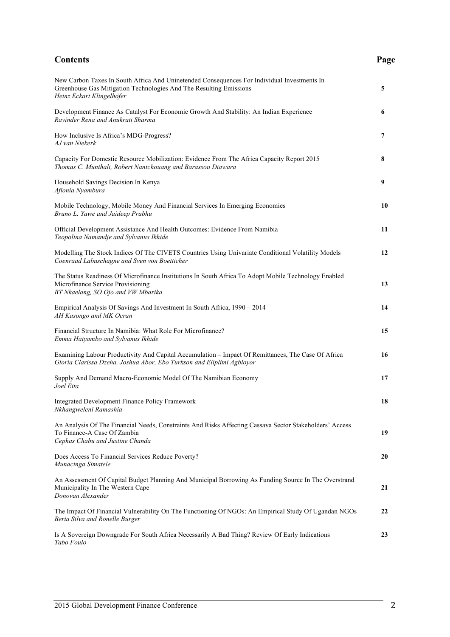| <b>Contents</b>                                                                                                                                                                                | Page |
|------------------------------------------------------------------------------------------------------------------------------------------------------------------------------------------------|------|
| New Carbon Taxes In South Africa And Uninetended Consequences For Individual Investments In<br>Greenhouse Gas Mitigation Technologies And The Resulting Emissions<br>Heinz Eckart Klingelhöfer | 5    |
| Development Finance As Catalyst For Economic Growth And Stability: An Indian Experience<br>Ravinder Rena and Anukrati Sharma                                                                   | 6    |
| How Inclusive Is Africa's MDG-Progress?<br>AJ van Niekerk                                                                                                                                      | 7    |
| Capacity For Domestic Resource Mobilization: Evidence From The Africa Capacity Report 2015<br>Thomas C. Munthali, Robert Nantchouang and Barassou Diawara                                      | 8    |
| Household Savings Decision In Kenya<br>Aflonia Nyambura                                                                                                                                        | 9    |
| Mobile Technology, Mobile Money And Financial Services In Emerging Economies<br>Bruno L. Yawe and Jaideep Prabhu                                                                               | 10   |
| Official Development Assistance And Health Outcomes: Evidence From Namibia<br>Teopolina Namandje and Sylvanus Ikhide                                                                           | 11   |
| Modelling The Stock Indices Of The CIVETS Countries Using Univariate Conditional Volatility Models<br>Coenraad Labuschagne and Sven von Boetticher                                             | 12   |
| The Status Readiness Of Microfinance Institutions In South Africa To Adopt Mobile Technology Enabled<br>Microfinance Service Provisioning<br>BT Nkaelang, SO Ojo and VW Mbarika                | 13   |
| Empirical Analysis Of Savings And Investment In South Africa, 1990 - 2014<br>AH Kasongo and MK Ocran                                                                                           | 14   |
| Financial Structure In Namibia: What Role For Microfinance?<br>Emma Haiyambo and Sylvanus Ikhide                                                                                               | 15   |
| Examining Labour Productivity And Capital Accumulation - Impact Of Remittances, The Case Of Africa<br>Gloria Clarissa Dzeha, Joshua Abor, Ebo Turkson and Eliplimi Agbloyor                    | 16   |
| Supply And Demand Macro-Economic Model Of The Namibian Economy<br>Joel Eita                                                                                                                    | 17   |
| <b>Integrated Development Finance Policy Framework</b><br>Nkhangweleni Ramashia                                                                                                                | 18   |
| An Analysis Of The Financial Needs, Constraints And Risks Affecting Cassava Sector Stakeholders' Access<br>To Finance-A Case Of Zambia<br>Cephas Chabu and Justine Chanda                      | 19   |
| Does Access To Financial Services Reduce Poverty?<br>Munacinga Simatele                                                                                                                        | 20   |
| An Assessment Of Capital Budget Planning And Municipal Borrowing As Funding Source In The Overstrand<br>Municipality In The Western Cape<br>Donovan Alexander                                  | 21   |
| The Impact Of Financial Vulnerability On The Functioning Of NGOs: An Empirical Study Of Ugandan NGOs<br>Berta Silva and Ronelle Burger                                                         | 22   |
| Is A Sovereign Downgrade For South Africa Necessarily A Bad Thing? Review Of Early Indications<br>Tabo Foulo                                                                                   | 23   |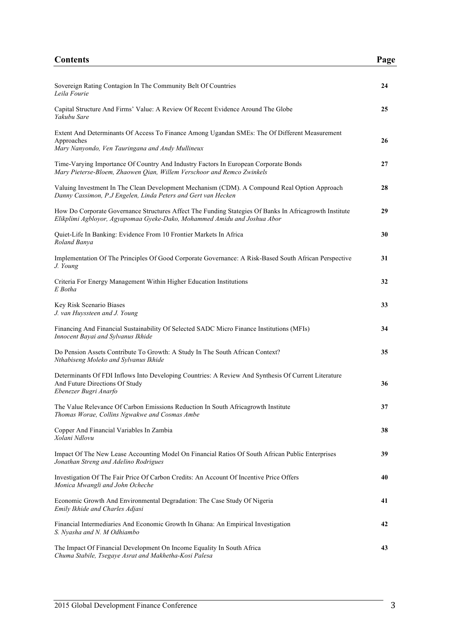### **Contents**

|--|--|

| Sovereign Rating Contagion In The Community Belt Of Countries<br>Leila Fourie                                                                                                      | 24 |
|------------------------------------------------------------------------------------------------------------------------------------------------------------------------------------|----|
| Capital Structure And Firms' Value: A Review Of Recent Evidence Around The Globe<br>Yakubu Sare                                                                                    | 25 |
| Extent And Determinants Of Access To Finance Among Ugandan SMEs: The Of Different Measurement<br>Approaches<br>Mary Nanyondo, Ven Tauringana and Andy Mullineux                    | 26 |
| Time-Varying Importance Of Country And Industry Factors In European Corporate Bonds<br>Mary Pieterse-Bloem, Zhaowen Qian, Willem Verschoor and Remco Zwinkels                      | 27 |
| Valuing Investment In The Clean Development Mechanism (CDM). A Compound Real Option Approach<br>Danny Cassimon, P.J Engelen, Linda Peters and Gert van Hecken                      | 28 |
| How Do Corporate Governance Structures Affect The Funding Stategies Of Banks In Africagrowth Institute<br>Elikplimi Agbloyor, Agyapomaa Gyeke-Dako, Mohammed Amidu and Joshua Abor | 29 |
| Quiet-Life In Banking: Evidence From 10 Frontier Markets In Africa<br>Roland Banya                                                                                                 | 30 |
| Implementation Of The Principles Of Good Corporate Governance: A Risk-Based South African Perspective<br>J. Young                                                                  | 31 |
| Criteria For Energy Management Within Higher Education Institutions<br>E Botha                                                                                                     | 32 |
| Key Risk Scenario Biases<br>J. van Huyssteen and J. Young                                                                                                                          | 33 |
| Financing And Financial Sustainability Of Selected SADC Micro Finance Institutions (MFIs)<br>Innocent Bayai and Sylvanus Ikhide                                                    | 34 |
| Do Pension Assets Contribute To Growth: A Study In The South African Context?<br>Nthabiseng Moleko and Sylvanus Ikhide                                                             | 35 |
| Determinants Of FDI Inflows Into Developing Countries: A Review And Synthesis Of Current Literature<br>And Future Directions Of Study<br>Ebenezer Bugri Anarfo                     | 36 |
| The Value Relevance Of Carbon Emissions Reduction In South Africagrowth Institute<br>Thomas Worae, Collins Ngwakwe and Cosmas Ambe                                                 | 37 |
| Copper And Financial Variables In Zambia<br>Xolani Ndlovu                                                                                                                          | 38 |
| Impact Of The New Lease Accounting Model On Financial Ratios Of South African Public Enterprises<br>Jonathan Streng and Adelino Rodrigues                                          | 39 |
| Investigation Of The Fair Price Of Carbon Credits: An Account Of Incentive Price Offers<br>Monica Mwangli and John Ocheche                                                         | 40 |
| Economic Growth And Environmental Degradation: The Case Study Of Nigeria<br>Emily Ikhide and Charles Adjasi                                                                        | 41 |
| Financial Intermediaries And Economic Growth In Ghana: An Empirical Investigation<br>S. Nyasha and N. M Odhiambo                                                                   | 42 |
| The Impact Of Financial Development On Income Equality In South Africa<br>Chuma Stabile, Tsegaye Asrat and Makhetha-Kosi Palesa                                                    | 43 |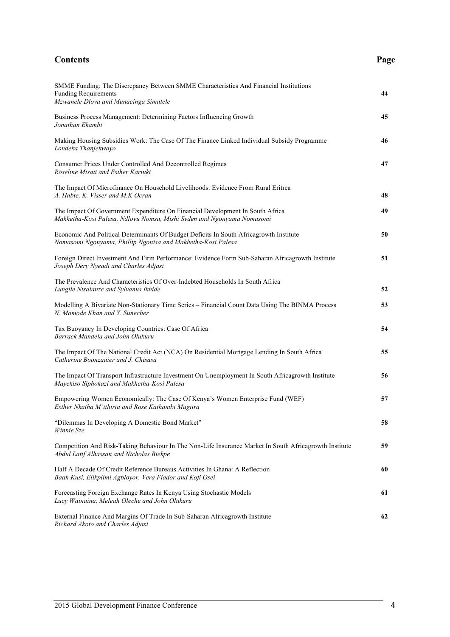# **Contents**

|--|

| SMME Funding: The Discrepancy Between SMME Characteristics And Financial Institutions<br><b>Funding Requirements</b><br>Mzwanele Dlova and Munacinga Simatele | 44 |
|---------------------------------------------------------------------------------------------------------------------------------------------------------------|----|
| Business Process Management: Determining Factors Influencing Growth<br>Jonathan Ekambi                                                                        | 45 |
| Making Housing Subsidies Work: The Case Of The Finance Linked Individual Subsidy Programme<br>Londeka Thanjekwayo                                             | 46 |
| Consumer Prices Under Controlled And Decontrolled Regimes<br>Roseline Misati and Esther Kariuki                                                               | 47 |
| The Impact Of Microfinance On Household Livelihoods: Evidence From Rural Eritrea<br>A. Habte, K. Visser and M.K Ocran                                         | 48 |
| The Impact Of Government Expenditure On Financial Development In South Africa<br>Makhetha-Kosi Palesa, Ndlovu Nomsa, Mishi Syden and Ngonyama Nomasomi        | 49 |
| Economic And Political Determinants Of Budget Deficits In South Africagrowth Institute<br>Nomasomi Ngonyama, Phillip Ngonisa and Makhetha-Kosi Palesa         | 50 |
| Foreign Direct Investment And Firm Performance: Evidence Form Sub-Saharan Africagrowth Institute<br>Joseph Dery Nyeadi and Charles Adjasi                     | 51 |
| The Prevalence And Characteristics Of Over-Indebted Households In South Africa<br>Lungile Ntsalanze and Sylvanus Ikhide                                       | 52 |
| Modelling A Bivariate Non-Stationary Time Series - Financial Count Data Using The BINMA Process<br>N. Mamode Khan and Y. Sunecher                             | 53 |
| Tax Buoyancy In Developing Countries: Case Of Africa<br>Barrack Mandela and John Olukuru                                                                      | 54 |
| The Impact Of The National Credit Act (NCA) On Residential Mortgage Lending In South Africa<br>Catherine Boonzaaier and J. Chisasa                            | 55 |
| The Impact Of Transport Infrastructure Investment On Unemployment In South Africagrowth Institute<br>Mayekiso Siphokazi and Makhetha-Kosi Palesa              | 56 |
| Empowering Women Economically: The Case Of Kenya's Women Enterprise Fund (WEF)<br>Esther Nkatha M'ithiria and Rose Kathambi Mugiira                           | 57 |
| "Dilemmas In Developing A Domestic Bond Market"<br>Winnie Sze                                                                                                 | 58 |
| Competition And Risk-Taking Behaviour In The Non-Life Insurance Market In South Africagrowth Institute<br>Abdul Latif Alhassan and Nicholas Biekpe            | 59 |
| Half A Decade Of Credit Reference Bureaus Activities In Ghana: A Reflection<br>Baah Kusi, Elikplimi Agbloyor, Vera Fiador and Kofi Osei                       | 60 |
| Forecasting Foreign Exchange Rates In Kenya Using Stochastic Models<br>Lucy Wainaina, Meleah Oleche and John Olukuru                                          | 61 |
| External Finance And Margins Of Trade In Sub-Saharan Africagrowth Institute<br>Richard Akoto and Charles Adjasi                                               | 62 |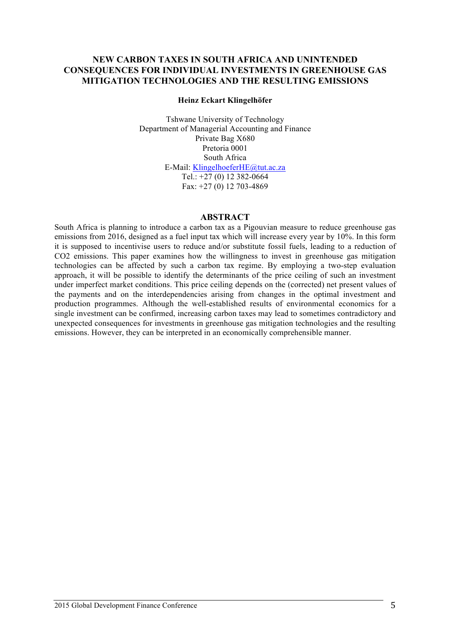# **NEW CARBON TAXES IN SOUTH AFRICA AND UNINTENDED CONSEQUENCES FOR INDIVIDUAL INVESTMENTS IN GREENHOUSE GAS MITIGATION TECHNOLOGIES AND THE RESULTING EMISSIONS**

### **Heinz Eckart Klingelhöfer**

Tshwane University of Technology Department of Managerial Accounting and Finance Private Bag X680 Pretoria 0001 South Africa E-Mail: KlingelhoeferHE@tut.ac.za Tel.: +27 (0) 12 382-0664 Fax: +27 (0) 12 703-4869

### **ABSTRACT**

South Africa is planning to introduce a carbon tax as a Pigouvian measure to reduce greenhouse gas emissions from 2016, designed as a fuel input tax which will increase every year by 10%. In this form it is supposed to incentivise users to reduce and/or substitute fossil fuels, leading to a reduction of CO2 emissions. This paper examines how the willingness to invest in greenhouse gas mitigation technologies can be affected by such a carbon tax regime. By employing a two-step evaluation approach, it will be possible to identify the determinants of the price ceiling of such an investment under imperfect market conditions. This price ceiling depends on the (corrected) net present values of the payments and on the interdependencies arising from changes in the optimal investment and production programmes. Although the well-established results of environmental economics for a single investment can be confirmed, increasing carbon taxes may lead to sometimes contradictory and unexpected consequences for investments in greenhouse gas mitigation technologies and the resulting emissions. However, they can be interpreted in an economically comprehensible manner.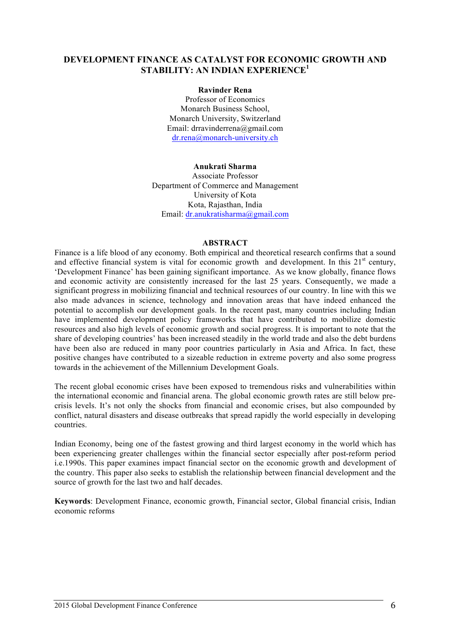# **DEVELOPMENT FINANCE AS CATALYST FOR ECONOMIC GROWTH AND STABILITY: AN INDIAN EXPERIENCE1**

#### **Ravinder Rena**

Professor of Economics Monarch Business School, Monarch University, Switzerland Email: drravinderrena@gmail.com dr.rena@monarch-university.ch

#### **Anukrati Sharma**

Associate Professor Department of Commerce and Management University of Kota Kota, Rajasthan, India Email: dr.anukratisharma@gmail.com

#### **ABSTRACT**

Finance is a life blood of any economy. Both empirical and theoretical research confirms that a sound and effective financial system is vital for economic growth and development. In this  $21<sup>st</sup>$  century, 'Development Finance' has been gaining significant importance. As we know globally, finance flows and economic activity are consistently increased for the last 25 years. Consequently, we made a significant progress in mobilizing financial and technical resources of our country. In line with this we also made advances in science, technology and innovation areas that have indeed enhanced the potential to accomplish our development goals. In the recent past, many countries including Indian have implemented development policy frameworks that have contributed to mobilize domestic resources and also high levels of economic growth and social progress. It is important to note that the share of developing countries' has been increased steadily in the world trade and also the debt burdens have been also are reduced in many poor countries particularly in Asia and Africa. In fact, these positive changes have contributed to a sizeable reduction in extreme poverty and also some progress towards in the achievement of the Millennium Development Goals.

The recent global economic crises have been exposed to tremendous risks and vulnerabilities within the international economic and financial arena. The global economic growth rates are still below precrisis levels. It's not only the shocks from financial and economic crises, but also compounded by conflict, natural disasters and disease outbreaks that spread rapidly the world especially in developing countries.

Indian Economy, being one of the fastest growing and third largest economy in the world which has been experiencing greater challenges within the financial sector especially after post-reform period i.e.1990s. This paper examines impact financial sector on the economic growth and development of the country. This paper also seeks to establish the relationship between financial development and the source of growth for the last two and half decades.

**Keywords**: Development Finance, economic growth, Financial sector, Global financial crisis, Indian economic reforms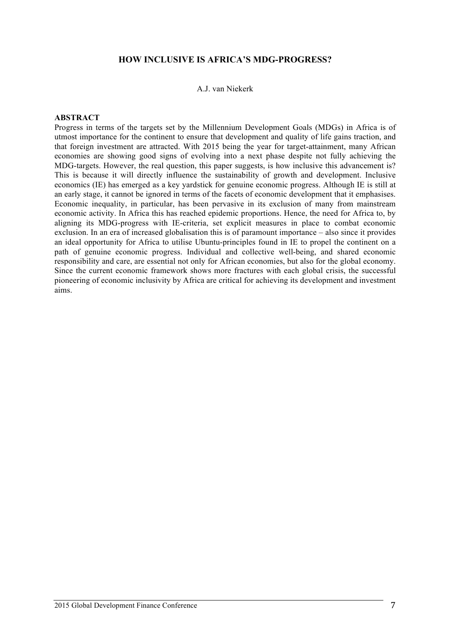### **HOW INCLUSIVE IS AFRICA'S MDG-PROGRESS?**

#### A.J. van Niekerk

#### **ABSTRACT**

Progress in terms of the targets set by the Millennium Development Goals (MDGs) in Africa is of utmost importance for the continent to ensure that development and quality of life gains traction, and that foreign investment are attracted. With 2015 being the year for target-attainment, many African economies are showing good signs of evolving into a next phase despite not fully achieving the MDG-targets. However, the real question, this paper suggests, is how inclusive this advancement is? This is because it will directly influence the sustainability of growth and development. Inclusive economics (IE) has emerged as a key yardstick for genuine economic progress. Although IE is still at an early stage, it cannot be ignored in terms of the facets of economic development that it emphasises. Economic inequality, in particular, has been pervasive in its exclusion of many from mainstream economic activity. In Africa this has reached epidemic proportions. Hence, the need for Africa to, by aligning its MDG-progress with IE-criteria, set explicit measures in place to combat economic exclusion. In an era of increased globalisation this is of paramount importance – also since it provides an ideal opportunity for Africa to utilise Ubuntu-principles found in IE to propel the continent on a path of genuine economic progress. Individual and collective well-being, and shared economic responsibility and care, are essential not only for African economies, but also for the global economy. Since the current economic framework shows more fractures with each global crisis, the successful pioneering of economic inclusivity by Africa are critical for achieving its development and investment aims.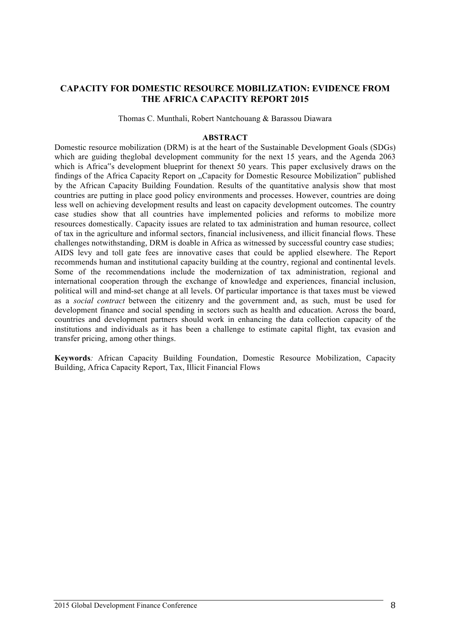# **CAPACITY FOR DOMESTIC RESOURCE MOBILIZATION: EVIDENCE FROM THE AFRICA CAPACITY REPORT 2015**

Thomas C. Munthali, Robert Nantchouang & Barassou Diawara

#### **ABSTRACT**

Domestic resource mobilization (DRM) is at the heart of the Sustainable Development Goals (SDGs) which are guiding theglobal development community for the next 15 years, and the Agenda 2063 which is Africa"s development blueprint for thenext 50 years. This paper exclusively draws on the findings of the Africa Capacity Report on "Capacity for Domestic Resource Mobilization" published by the African Capacity Building Foundation. Results of the quantitative analysis show that most countries are putting in place good policy environments and processes. However, countries are doing less well on achieving development results and least on capacity development outcomes. The country case studies show that all countries have implemented policies and reforms to mobilize more resources domestically. Capacity issues are related to tax administration and human resource, collect of tax in the agriculture and informal sectors, financial inclusiveness, and illicit financial flows. These challenges notwithstanding, DRM is doable in Africa as witnessed by successful country case studies; AIDS levy and toll gate fees are innovative cases that could be applied elsewhere. The Report recommends human and institutional capacity building at the country, regional and continental levels. Some of the recommendations include the modernization of tax administration, regional and international cooperation through the exchange of knowledge and experiences, financial inclusion, political will and mind-set change at all levels. Of particular importance is that taxes must be viewed as a *social contract* between the citizenry and the government and, as such, must be used for development finance and social spending in sectors such as health and education. Across the board, countries and development partners should work in enhancing the data collection capacity of the institutions and individuals as it has been a challenge to estimate capital flight, tax evasion and transfer pricing, among other things.

**Keywords***:* African Capacity Building Foundation, Domestic Resource Mobilization, Capacity Building, Africa Capacity Report, Tax, Illicit Financial Flows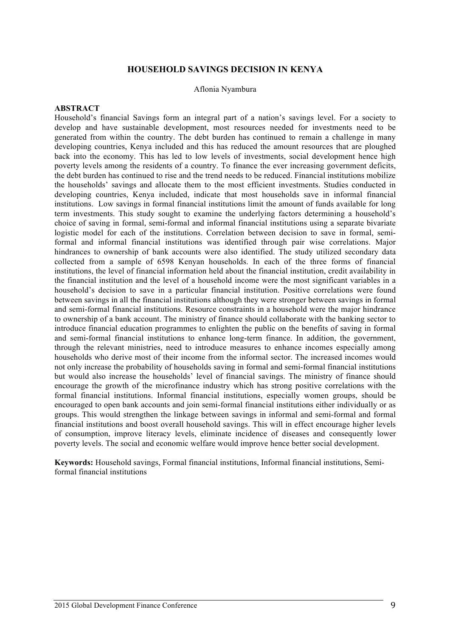### **HOUSEHOLD SAVINGS DECISION IN KENYA**

#### Aflonia Nyambura

#### **ABSTRACT**

Household's financial Savings form an integral part of a nation's savings level. For a society to develop and have sustainable development, most resources needed for investments need to be generated from within the country. The debt burden has continued to remain a challenge in many developing countries, Kenya included and this has reduced the amount resources that are ploughed back into the economy. This has led to low levels of investments, social development hence high poverty levels among the residents of a country. To finance the ever increasing government deficits, the debt burden has continued to rise and the trend needs to be reduced. Financial institutions mobilize the households' savings and allocate them to the most efficient investments. Studies conducted in developing countries, Kenya included, indicate that most households save in informal financial institutions. Low savings in formal financial institutions limit the amount of funds available for long term investments. This study sought to examine the underlying factors determining a household's choice of saving in formal, semi-formal and informal financial institutions using a separate bivariate logistic model for each of the institutions. Correlation between decision to save in formal, semiformal and informal financial institutions was identified through pair wise correlations. Major hindrances to ownership of bank accounts were also identified. The study utilized secondary data collected from a sample of 6598 Kenyan households. In each of the three forms of financial institutions, the level of financial information held about the financial institution, credit availability in the financial institution and the level of a household income were the most significant variables in a household's decision to save in a particular financial institution. Positive correlations were found between savings in all the financial institutions although they were stronger between savings in formal and semi-formal financial institutions. Resource constraints in a household were the major hindrance to ownership of a bank account. The ministry of finance should collaborate with the banking sector to introduce financial education programmes to enlighten the public on the benefits of saving in formal and semi-formal financial institutions to enhance long-term finance. In addition, the government, through the relevant ministries, need to introduce measures to enhance incomes especially among households who derive most of their income from the informal sector. The increased incomes would not only increase the probability of households saving in formal and semi-formal financial institutions but would also increase the households' level of financial savings. The ministry of finance should encourage the growth of the microfinance industry which has strong positive correlations with the formal financial institutions. Informal financial institutions, especially women groups, should be encouraged to open bank accounts and join semi-formal financial institutions either individually or as groups. This would strengthen the linkage between savings in informal and semi-formal and formal financial institutions and boost overall household savings. This will in effect encourage higher levels of consumption, improve literacy levels, eliminate incidence of diseases and consequently lower poverty levels. The social and economic welfare would improve hence better social development.

**Keywords:** Household savings, Formal financial institutions, Informal financial institutions, Semiformal financial institutions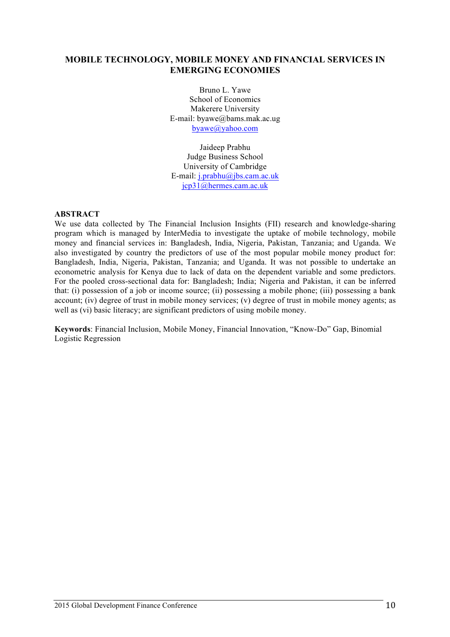# **MOBILE TECHNOLOGY, MOBILE MONEY AND FINANCIAL SERVICES IN EMERGING ECONOMIES**

Bruno L. Yawe School of Economics Makerere University E-mail: byawe@bams.mak.ac.ug byawe@yahoo.com

Jaideep Prabhu Judge Business School University of Cambridge E-mail: j.prabhu@jbs.cam.ac.uk jcp31@hermes.cam.ac.uk

### **ABSTRACT**

We use data collected by The Financial Inclusion Insights (FII) research and knowledge-sharing program which is managed by InterMedia to investigate the uptake of mobile technology, mobile money and financial services in: Bangladesh, India, Nigeria, Pakistan, Tanzania; and Uganda. We also investigated by country the predictors of use of the most popular mobile money product for: Bangladesh, India, Nigeria, Pakistan, Tanzania; and Uganda. It was not possible to undertake an econometric analysis for Kenya due to lack of data on the dependent variable and some predictors. For the pooled cross-sectional data for: Bangladesh; India; Nigeria and Pakistan, it can be inferred that: (i) possession of a job or income source; (ii) possessing a mobile phone; (iii) possessing a bank account; (iv) degree of trust in mobile money services; (v) degree of trust in mobile money agents; as well as (vi) basic literacy; are significant predictors of using mobile money.

**Keywords**: Financial Inclusion, Mobile Money, Financial Innovation, "Know-Do" Gap, Binomial Logistic Regression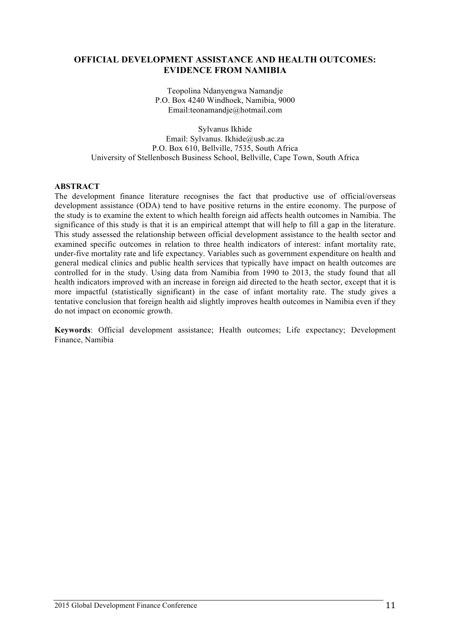# **OFFICIAL DEVELOPMENT ASSISTANCE AND HEALTH OUTCOMES: EVIDENCE FROM NAMIBIA**

Teopolina Ndanyengwa Namandje P.O. Box 4240 Windhoek, Namibia, 9000 Email:teonamandje@hotmail.com

Sylvanus Ikhide Email: Sylvanus. Ikhide@usb.ac.za P.O. Box 610, Bellville, 7535, South Africa University of Stellenbosch Business School, Bellville, Cape Town, South Africa

### **ABSTRACT**

The development finance literature recognises the fact that productive use of official/overseas development assistance (ODA) tend to have positive returns in the entire economy. The purpose of the study is to examine the extent to which health foreign aid affects health outcomes in Namibia. The significance of this study is that it is an empirical attempt that will help to fill a gap in the literature. This study assessed the relationship between official development assistance to the health sector and examined specific outcomes in relation to three health indicators of interest: infant mortality rate, under-five mortality rate and life expectancy. Variables such as government expenditure on health and general medical clinics and public health services that typically have impact on health outcomes are controlled for in the study. Using data from Namibia from 1990 to 2013, the study found that all health indicators improved with an increase in foreign aid directed to the heath sector, except that it is more impactful (statistically significant) in the case of infant mortality rate. The study gives a tentative conclusion that foreign health aid slightly improves health outcomes in Namibia even if they do not impact on economic growth.

**Keywords**: Official development assistance; Health outcomes; Life expectancy; Development Finance, Namibia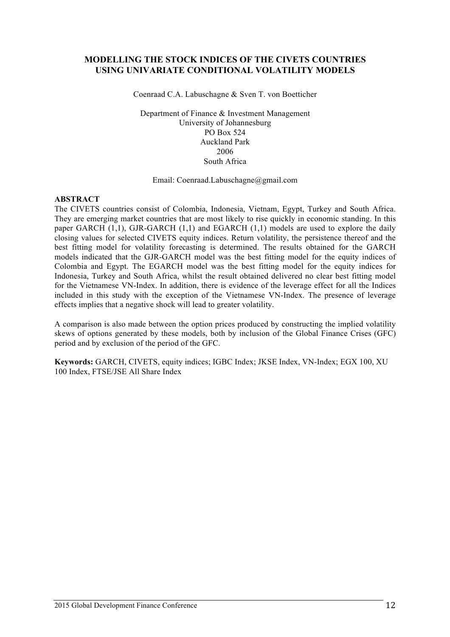# **MODELLING THE STOCK INDICES OF THE CIVETS COUNTRIES USING UNIVARIATE CONDITIONAL VOLATILITY MODELS**

Coenraad C.A. Labuschagne & Sven T. von Boetticher

Department of Finance & Investment Management University of Johannesburg PO Box 524 Auckland Park 2006 South Africa

#### Email: Coenraad.Labuschagne@gmail.com

# **ABSTRACT**

The CIVETS countries consist of Colombia, Indonesia, Vietnam, Egypt, Turkey and South Africa. They are emerging market countries that are most likely to rise quickly in economic standing. In this paper GARCH (1,1), GJR-GARCH (1,1) and EGARCH (1,1) models are used to explore the daily closing values for selected CIVETS equity indices. Return volatility, the persistence thereof and the best fitting model for volatility forecasting is determined. The results obtained for the GARCH models indicated that the GJR-GARCH model was the best fitting model for the equity indices of Colombia and Egypt. The EGARCH model was the best fitting model for the equity indices for Indonesia, Turkey and South Africa, whilst the result obtained delivered no clear best fitting model for the Vietnamese VN-Index. In addition, there is evidence of the leverage effect for all the Indices included in this study with the exception of the Vietnamese VN-Index. The presence of leverage effects implies that a negative shock will lead to greater volatility.

A comparison is also made between the option prices produced by constructing the implied volatility skews of options generated by these models, both by inclusion of the Global Finance Crises (GFC) period and by exclusion of the period of the GFC.

**Keywords:** GARCH, CIVETS, equity indices; IGBC Index; JKSE Index, VN-Index; EGX 100, XU 100 Index, FTSE/JSE All Share Index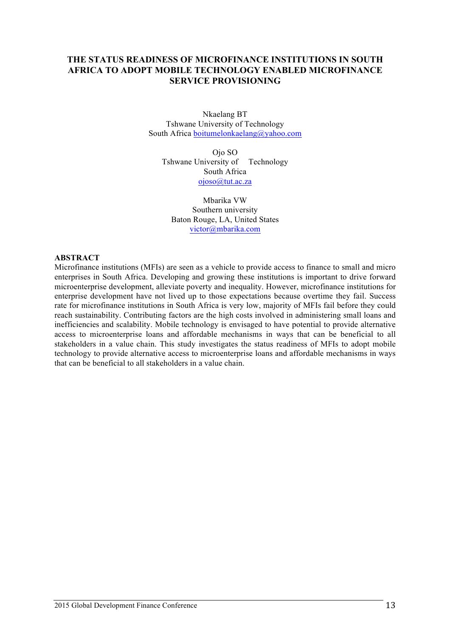# **THE STATUS READINESS OF MICROFINANCE INSTITUTIONS IN SOUTH AFRICA TO ADOPT MOBILE TECHNOLOGY ENABLED MICROFINANCE SERVICE PROVISIONING**

Nkaelang BT Tshwane University of Technology South Africa boitumelonkaelang@yahoo.com

Ojo SO Tshwane University of Technology South Africa ojoso@tut.ac.za

Mbarika VW Southern university Baton Rouge, LA, United States victor@mbarika.com

### **ABSTRACT**

Microfinance institutions (MFIs) are seen as a vehicle to provide access to finance to small and micro enterprises in South Africa. Developing and growing these institutions is important to drive forward microenterprise development, alleviate poverty and inequality. However, microfinance institutions for enterprise development have not lived up to those expectations because overtime they fail. Success rate for microfinance institutions in South Africa is very low, majority of MFIs fail before they could reach sustainability. Contributing factors are the high costs involved in administering small loans and inefficiencies and scalability. Mobile technology is envisaged to have potential to provide alternative access to microenterprise loans and affordable mechanisms in ways that can be beneficial to all stakeholders in a value chain. This study investigates the status readiness of MFIs to adopt mobile technology to provide alternative access to microenterprise loans and affordable mechanisms in ways that can be beneficial to all stakeholders in a value chain.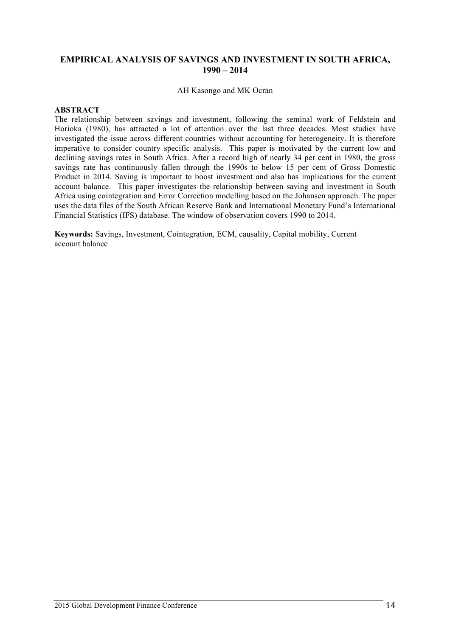# **EMPIRICAL ANALYSIS OF SAVINGS AND INVESTMENT IN SOUTH AFRICA, 1990 – 2014**

#### AH Kasongo and MK Ocran

#### **ABSTRACT**

The relationship between savings and investment, following the seminal work of Feldstein and Horioka (1980), has attracted a lot of attention over the last three decades. Most studies have investigated the issue across different countries without accounting for heterogeneity. It is therefore imperative to consider country specific analysis. This paper is motivated by the current low and declining savings rates in South Africa. After a record high of nearly 34 per cent in 1980, the gross savings rate has continuously fallen through the 1990s to below 15 per cent of Gross Domestic Product in 2014. Saving is important to boost investment and also has implications for the current account balance. This paper investigates the relationship between saving and investment in South Africa using cointegration and Error Correction modelling based on the Johansen approach. The paper uses the data files of the South African Reserve Bank and International Monetary Fund's International Financial Statistics (IFS) database. The window of observation covers 1990 to 2014.

**Keywords:** Savings, Investment, Cointegration, ECM, causality, Capital mobility, Current account balance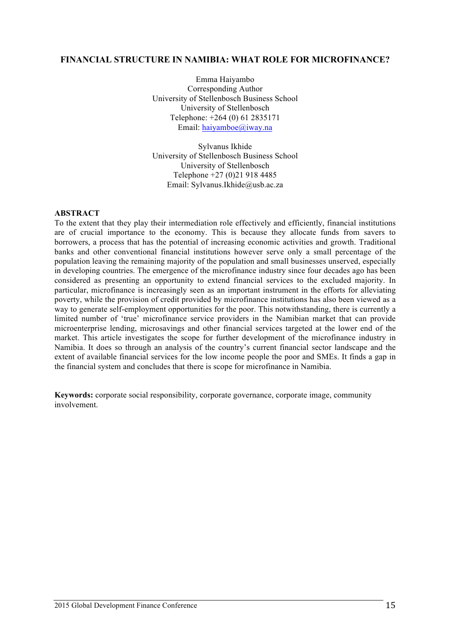# **FINANCIAL STRUCTURE IN NAMIBIA: WHAT ROLE FOR MICROFINANCE?**

Emma Haiyambo Corresponding Author University of Stellenbosch Business School University of Stellenbosch Telephone: +264 (0) 61 2835171 Email: haiyamboe@iway.na

Sylvanus Ikhide University of Stellenbosch Business School University of Stellenbosch Telephone +27 (0)21 918 4485 Email: Sylvanus.Ikhide@usb.ac.za

#### **ABSTRACT**

To the extent that they play their intermediation role effectively and efficiently, financial institutions are of crucial importance to the economy. This is because they allocate funds from savers to borrowers, a process that has the potential of increasing economic activities and growth. Traditional banks and other conventional financial institutions however serve only a small percentage of the population leaving the remaining majority of the population and small businesses unserved, especially in developing countries. The emergence of the microfinance industry since four decades ago has been considered as presenting an opportunity to extend financial services to the excluded majority. In particular, microfinance is increasingly seen as an important instrument in the efforts for alleviating poverty, while the provision of credit provided by microfinance institutions has also been viewed as a way to generate self-employment opportunities for the poor. This notwithstanding, there is currently a limited number of 'true' microfinance service providers in the Namibian market that can provide microenterprise lending, microsavings and other financial services targeted at the lower end of the market. This article investigates the scope for further development of the microfinance industry in Namibia. It does so through an analysis of the country's current financial sector landscape and the extent of available financial services for the low income people the poor and SMEs. It finds a gap in the financial system and concludes that there is scope for microfinance in Namibia.

**Keywords:** corporate social responsibility, corporate governance, corporate image, community involvement.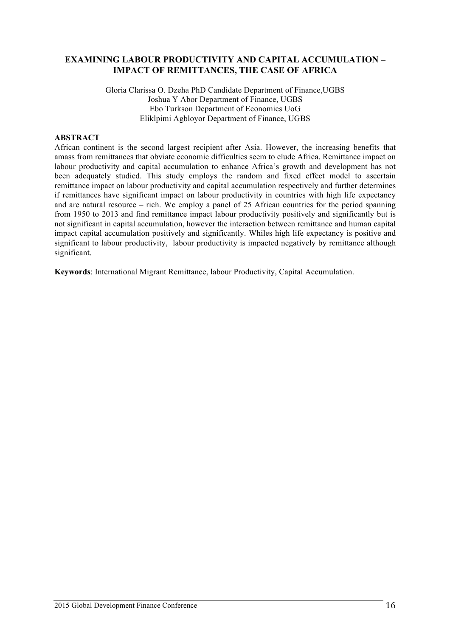# **EXAMINING LABOUR PRODUCTIVITY AND CAPITAL ACCUMULATION – IMPACT OF REMITTANCES, THE CASE OF AFRICA**

Gloria Clarissa O. Dzeha PhD Candidate Department of Finance,UGBS Joshua Y Abor Department of Finance, UGBS Ebo Turkson Department of Economics UoG Eliklpimi Agbloyor Department of Finance, UGBS

### **ABSTRACT**

African continent is the second largest recipient after Asia. However, the increasing benefits that amass from remittances that obviate economic difficulties seem to elude Africa. Remittance impact on labour productivity and capital accumulation to enhance Africa's growth and development has not been adequately studied. This study employs the random and fixed effect model to ascertain remittance impact on labour productivity and capital accumulation respectively and further determines if remittances have significant impact on labour productivity in countries with high life expectancy and are natural resource – rich. We employ a panel of 25 African countries for the period spanning from 1950 to 2013 and find remittance impact labour productivity positively and significantly but is not significant in capital accumulation, however the interaction between remittance and human capital impact capital accumulation positively and significantly. Whiles high life expectancy is positive and significant to labour productivity, labour productivity is impacted negatively by remittance although significant.

**Keywords**: International Migrant Remittance, labour Productivity, Capital Accumulation.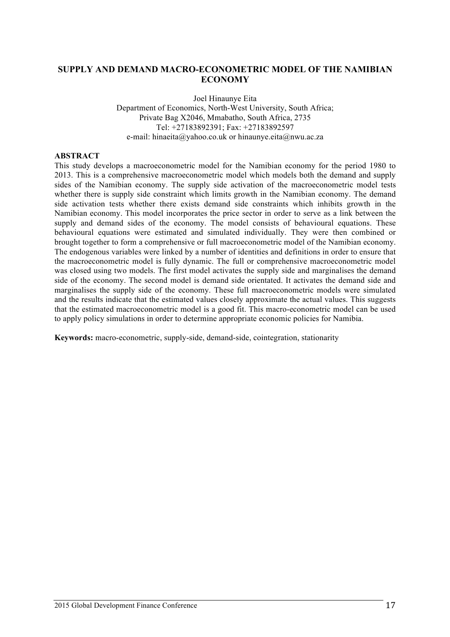# **SUPPLY AND DEMAND MACRO-ECONOMETRIC MODEL OF THE NAMIBIAN ECONOMY**

Joel Hinaunye Eita Department of Economics, North-West University, South Africa; Private Bag X2046, Mmabatho, South Africa, 2735 Tel: +27183892391; Fax: +27183892597 e-mail: hinaeita@yahoo.co.uk or hinaunye.eita@nwu.ac.za

### **ABSTRACT**

This study develops a macroeconometric model for the Namibian economy for the period 1980 to 2013. This is a comprehensive macroeconometric model which models both the demand and supply sides of the Namibian economy. The supply side activation of the macroeconometric model tests whether there is supply side constraint which limits growth in the Namibian economy. The demand side activation tests whether there exists demand side constraints which inhibits growth in the Namibian economy. This model incorporates the price sector in order to serve as a link between the supply and demand sides of the economy. The model consists of behavioural equations. These behavioural equations were estimated and simulated individually. They were then combined or brought together to form a comprehensive or full macroeconometric model of the Namibian economy. The endogenous variables were linked by a number of identities and definitions in order to ensure that the macroeconometric model is fully dynamic. The full or comprehensive macroeconometric model was closed using two models. The first model activates the supply side and marginalises the demand side of the economy. The second model is demand side orientated. It activates the demand side and marginalises the supply side of the economy. These full macroeconometric models were simulated and the results indicate that the estimated values closely approximate the actual values. This suggests that the estimated macroeconometric model is a good fit. This macro-econometric model can be used to apply policy simulations in order to determine appropriate economic policies for Namibia.

**Keywords:** macro-econometric, supply-side, demand-side, cointegration, stationarity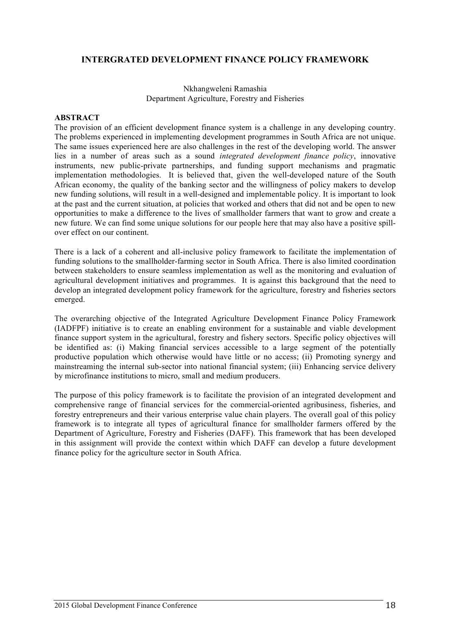# **INTERGRATED DEVELOPMENT FINANCE POLICY FRAMEWORK**

### Nkhangweleni Ramashia Department Agriculture, Forestry and Fisheries

#### **ABSTRACT**

The provision of an efficient development finance system is a challenge in any developing country. The problems experienced in implementing development programmes in South Africa are not unique. The same issues experienced here are also challenges in the rest of the developing world. The answer lies in a number of areas such as a sound *integrated development finance policy*, innovative instruments, new public-private partnerships, and funding support mechanisms and pragmatic implementation methodologies. It is believed that, given the well-developed nature of the South African economy, the quality of the banking sector and the willingness of policy makers to develop new funding solutions, will result in a well-designed and implementable policy. It is important to look at the past and the current situation, at policies that worked and others that did not and be open to new opportunities to make a difference to the lives of smallholder farmers that want to grow and create a new future. We can find some unique solutions for our people here that may also have a positive spillover effect on our continent.

There is a lack of a coherent and all-inclusive policy framework to facilitate the implementation of funding solutions to the smallholder-farming sector in South Africa. There is also limited coordination between stakeholders to ensure seamless implementation as well as the monitoring and evaluation of agricultural development initiatives and programmes. It is against this background that the need to develop an integrated development policy framework for the agriculture, forestry and fisheries sectors emerged.

The overarching objective of the Integrated Agriculture Development Finance Policy Framework (IADFPF) initiative is to create an enabling environment for a sustainable and viable development finance support system in the agricultural, forestry and fishery sectors. Specific policy objectives will be identified as: (i) Making financial services accessible to a large segment of the potentially productive population which otherwise would have little or no access; (ii) Promoting synergy and mainstreaming the internal sub-sector into national financial system; (iii) Enhancing service delivery by microfinance institutions to micro, small and medium producers.

The purpose of this policy framework is to facilitate the provision of an integrated development and comprehensive range of financial services for the commercial-oriented agribusiness, fisheries, and forestry entrepreneurs and their various enterprise value chain players. The overall goal of this policy framework is to integrate all types of agricultural finance for smallholder farmers offered by the Department of Agriculture, Forestry and Fisheries (DAFF). This framework that has been developed in this assignment will provide the context within which DAFF can develop a future development finance policy for the agriculture sector in South Africa.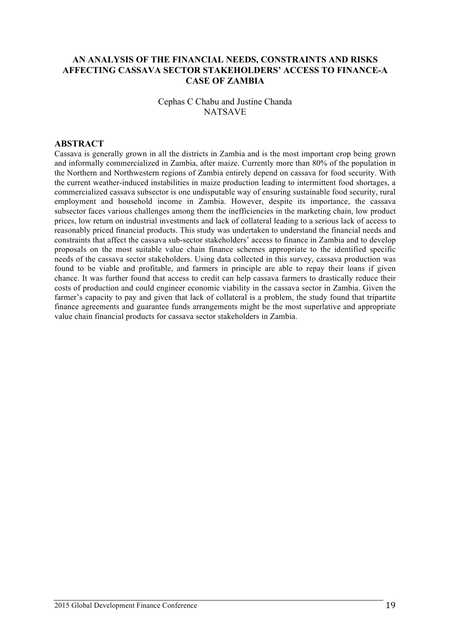# **AN ANALYSIS OF THE FINANCIAL NEEDS, CONSTRAINTS AND RISKS AFFECTING CASSAVA SECTOR STAKEHOLDERS' ACCESS TO FINANCE-A CASE OF ZAMBIA**

# Cephas C Chabu and Justine Chanda **NATSAVE**

### **ABSTRACT**

Cassava is generally grown in all the districts in Zambia and is the most important crop being grown and informally commercialized in Zambia, after maize. Currently more than 80% of the population in the Northern and Northwestern regions of Zambia entirely depend on cassava for food security. With the current weather-induced instabilities in maize production leading to intermittent food shortages, a commercialized cassava subsector is one undisputable way of ensuring sustainable food security, rural employment and household income in Zambia. However, despite its importance, the cassava subsector faces various challenges among them the inefficiencies in the marketing chain, low product prices, low return on industrial investments and lack of collateral leading to a serious lack of access to reasonably priced financial products. This study was undertaken to understand the financial needs and constraints that affect the cassava sub-sector stakeholders' access to finance in Zambia and to develop proposals on the most suitable value chain finance schemes appropriate to the identified specific needs of the cassava sector stakeholders. Using data collected in this survey, cassava production was found to be viable and profitable, and farmers in principle are able to repay their loans if given chance. It was further found that access to credit can help cassava farmers to drastically reduce their costs of production and could engineer economic viability in the cassava sector in Zambia. Given the farmer's capacity to pay and given that lack of collateral is a problem, the study found that tripartite finance agreements and guarantee funds arrangements might be the most superlative and appropriate value chain financial products for cassava sector stakeholders in Zambia.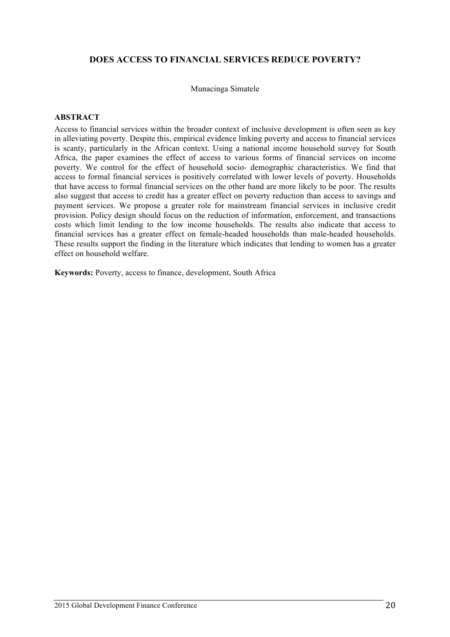# **DOES ACCESS TO FINANCIAL SERVICES REDUCE POVERTY?**

#### Munacinga Simatele

#### **ABSTRACT**

Access to financial services within the broader context of inclusive development is often seen as key in alleviating poverty. Despite this, empirical evidence linking poverty and access to financial services is scanty, particularly in the African context. Using a national income household survey for South Africa, the paper examines the effect of access to various forms of financial services on income poverty. We control for the effect of household socio- demographic characteristics. We find that access to formal financial services is positively correlated with lower levels of poverty. Households that have access to formal financial services on the other hand are more likely to be poor. The results also suggest that access to credit has a greater effect on poverty reduction than access to savings and payment services. We propose a greater role for mainstream financial services in inclusive credit provision. Policy design should focus on the reduction of information, enforcement, and transactions costs which limit lending to the low income households. The results also indicate that access to financial services has a greater effect on female-headed households than male-headed households. These results support the finding in the literature which indicates that lending to women has a greater effect on household welfare.

**Keywords:** Poverty, access to finance, development, South Africa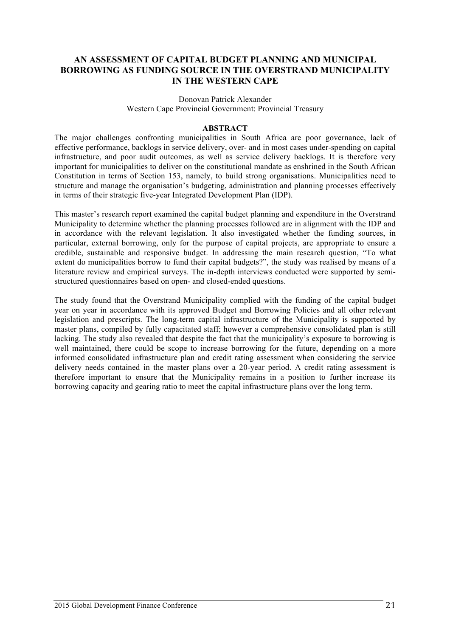# **AN ASSESSMENT OF CAPITAL BUDGET PLANNING AND MUNICIPAL BORROWING AS FUNDING SOURCE IN THE OVERSTRAND MUNICIPALITY IN THE WESTERN CAPE**

### Donovan Patrick Alexander Western Cape Provincial Government: Provincial Treasury

### **ABSTRACT**

The major challenges confronting municipalities in South Africa are poor governance, lack of effective performance, backlogs in service delivery, over- and in most cases under-spending on capital infrastructure, and poor audit outcomes, as well as service delivery backlogs. It is therefore very important for municipalities to deliver on the constitutional mandate as enshrined in the South African Constitution in terms of Section 153, namely, to build strong organisations. Municipalities need to structure and manage the organisation's budgeting, administration and planning processes effectively in terms of their strategic five-year Integrated Development Plan (IDP).

This master's research report examined the capital budget planning and expenditure in the Overstrand Municipality to determine whether the planning processes followed are in alignment with the IDP and in accordance with the relevant legislation. It also investigated whether the funding sources, in particular, external borrowing, only for the purpose of capital projects, are appropriate to ensure a credible, sustainable and responsive budget. In addressing the main research question, "To what extent do municipalities borrow to fund their capital budgets?", the study was realised by means of a literature review and empirical surveys. The in-depth interviews conducted were supported by semistructured questionnaires based on open- and closed-ended questions.

The study found that the Overstrand Municipality complied with the funding of the capital budget year on year in accordance with its approved Budget and Borrowing Policies and all other relevant legislation and prescripts. The long-term capital infrastructure of the Municipality is supported by master plans, compiled by fully capacitated staff; however a comprehensive consolidated plan is still lacking. The study also revealed that despite the fact that the municipality's exposure to borrowing is well maintained, there could be scope to increase borrowing for the future, depending on a more informed consolidated infrastructure plan and credit rating assessment when considering the service delivery needs contained in the master plans over a 20-year period. A credit rating assessment is therefore important to ensure that the Municipality remains in a position to further increase its borrowing capacity and gearing ratio to meet the capital infrastructure plans over the long term.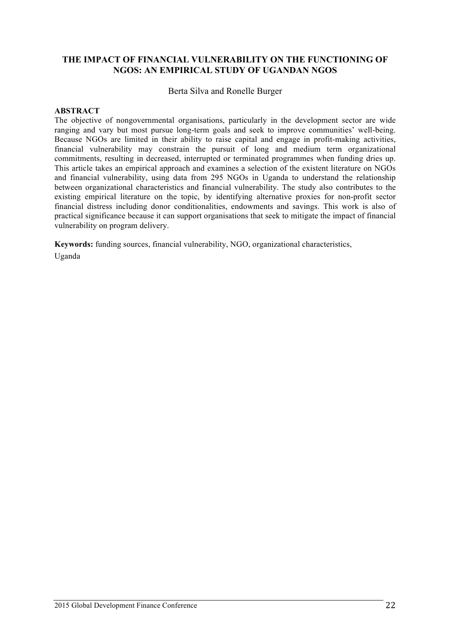# **THE IMPACT OF FINANCIAL VULNERABILITY ON THE FUNCTIONING OF NGOS: AN EMPIRICAL STUDY OF UGANDAN NGOS**

Berta Silva and Ronelle Burger

### **ABSTRACT**

The objective of nongovernmental organisations, particularly in the development sector are wide ranging and vary but most pursue long-term goals and seek to improve communities' well-being. Because NGOs are limited in their ability to raise capital and engage in profit-making activities, financial vulnerability may constrain the pursuit of long and medium term organizational commitments, resulting in decreased, interrupted or terminated programmes when funding dries up. This article takes an empirical approach and examines a selection of the existent literature on NGOs and financial vulnerability, using data from 295 NGOs in Uganda to understand the relationship between organizational characteristics and financial vulnerability. The study also contributes to the existing empirical literature on the topic, by identifying alternative proxies for non-profit sector financial distress including donor conditionalities, endowments and savings. This work is also of practical significance because it can support organisations that seek to mitigate the impact of financial vulnerability on program delivery.

**Keywords:** funding sources, financial vulnerability, NGO, organizational characteristics, Uganda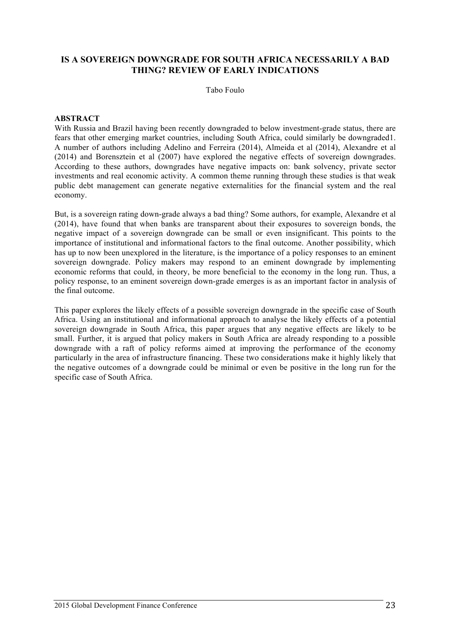# **IS A SOVEREIGN DOWNGRADE FOR SOUTH AFRICA NECESSARILY A BAD THING? REVIEW OF EARLY INDICATIONS**

Tabo Foulo

#### **ABSTRACT**

With Russia and Brazil having been recently downgraded to below investment-grade status, there are fears that other emerging market countries, including South Africa, could similarly be downgraded1. A number of authors including Adelino and Ferreira (2014), Almeida et al (2014), Alexandre et al (2014) and Borensztein et al (2007) have explored the negative effects of sovereign downgrades. According to these authors, downgrades have negative impacts on: bank solvency, private sector investments and real economic activity. A common theme running through these studies is that weak public debt management can generate negative externalities for the financial system and the real economy.

But, is a sovereign rating down-grade always a bad thing? Some authors, for example, Alexandre et al (2014), have found that when banks are transparent about their exposures to sovereign bonds, the negative impact of a sovereign downgrade can be small or even insignificant. This points to the importance of institutional and informational factors to the final outcome. Another possibility, which has up to now been unexplored in the literature, is the importance of a policy responses to an eminent sovereign downgrade. Policy makers may respond to an eminent downgrade by implementing economic reforms that could, in theory, be more beneficial to the economy in the long run. Thus, a policy response, to an eminent sovereign down-grade emerges is as an important factor in analysis of the final outcome.

This paper explores the likely effects of a possible sovereign downgrade in the specific case of South Africa. Using an institutional and informational approach to analyse the likely effects of a potential sovereign downgrade in South Africa, this paper argues that any negative effects are likely to be small. Further, it is argued that policy makers in South Africa are already responding to a possible downgrade with a raft of policy reforms aimed at improving the performance of the economy particularly in the area of infrastructure financing. These two considerations make it highly likely that the negative outcomes of a downgrade could be minimal or even be positive in the long run for the specific case of South Africa.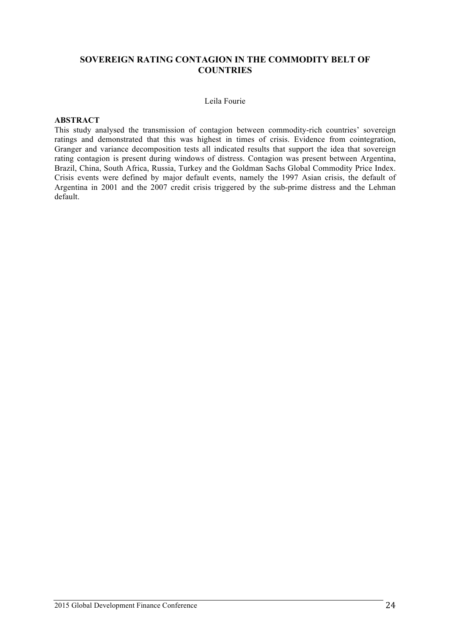# **SOVEREIGN RATING CONTAGION IN THE COMMODITY BELT OF COUNTRIES**

Leila Fourie

### **ABSTRACT**

This study analysed the transmission of contagion between commodity-rich countries' sovereign ratings and demonstrated that this was highest in times of crisis. Evidence from cointegration, Granger and variance decomposition tests all indicated results that support the idea that sovereign rating contagion is present during windows of distress. Contagion was present between Argentina, Brazil, China, South Africa, Russia, Turkey and the Goldman Sachs Global Commodity Price Index. Crisis events were defined by major default events, namely the 1997 Asian crisis, the default of Argentina in 2001 and the 2007 credit crisis triggered by the sub-prime distress and the Lehman default.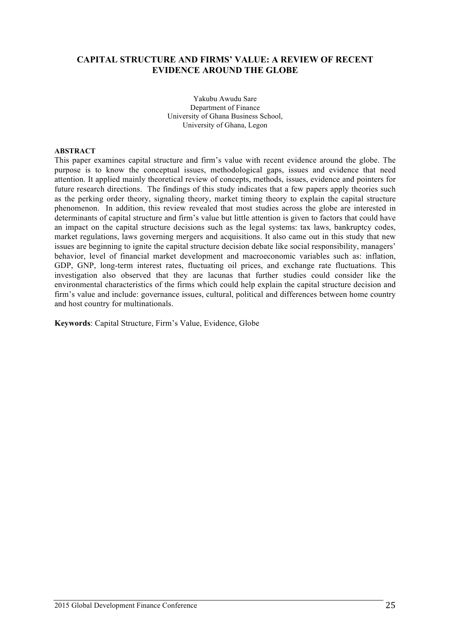# **CAPITAL STRUCTURE AND FIRMS' VALUE: A REVIEW OF RECENT EVIDENCE AROUND THE GLOBE**

Yakubu Awudu Sare Department of Finance University of Ghana Business School, University of Ghana, Legon

#### **ABSTRACT**

This paper examines capital structure and firm's value with recent evidence around the globe. The purpose is to know the conceptual issues, methodological gaps, issues and evidence that need attention. It applied mainly theoretical review of concepts, methods, issues, evidence and pointers for future research directions. The findings of this study indicates that a few papers apply theories such as the perking order theory, signaling theory, market timing theory to explain the capital structure phenomenon. In addition, this review revealed that most studies across the globe are interested in determinants of capital structure and firm's value but little attention is given to factors that could have an impact on the capital structure decisions such as the legal systems: tax laws, bankruptcy codes, market regulations, laws governing mergers and acquisitions. It also came out in this study that new issues are beginning to ignite the capital structure decision debate like social responsibility, managers' behavior, level of financial market development and macroeconomic variables such as: inflation, GDP, GNP, long-term interest rates, fluctuating oil prices, and exchange rate fluctuations. This investigation also observed that they are lacunas that further studies could consider like the environmental characteristics of the firms which could help explain the capital structure decision and firm's value and include: governance issues, cultural, political and differences between home country and host country for multinationals.

**Keywords**: Capital Structure, Firm's Value, Evidence, Globe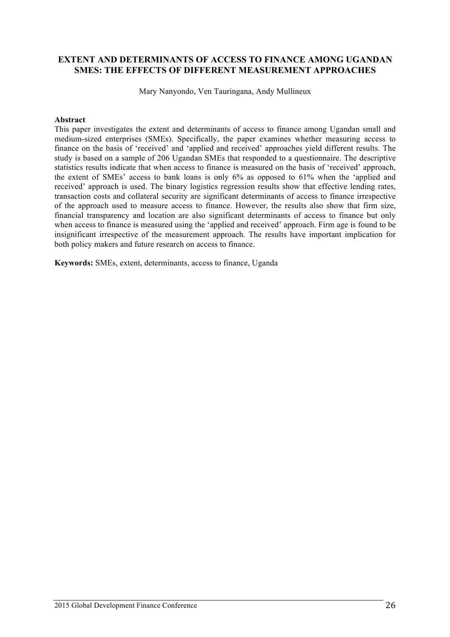# **EXTENT AND DETERMINANTS OF ACCESS TO FINANCE AMONG UGANDAN SMES: THE EFFECTS OF DIFFERENT MEASUREMENT APPROACHES**

Mary Nanyondo, Ven Tauringana, Andy Mullineux

### **Abstract**

This paper investigates the extent and determinants of access to finance among Ugandan small and medium-sized enterprises (SMEs). Specifically, the paper examines whether measuring access to finance on the basis of 'received' and 'applied and received' approaches yield different results. The study is based on a sample of 206 Ugandan SMEs that responded to a questionnaire. The descriptive statistics results indicate that when access to finance is measured on the basis of 'received' approach, the extent of SMEs' access to bank loans is only 6% as opposed to 61% when the 'applied and received' approach is used. The binary logistics regression results show that effective lending rates, transaction costs and collateral security are significant determinants of access to finance irrespective of the approach used to measure access to finance. However, the results also show that firm size, financial transparency and location are also significant determinants of access to finance but only when access to finance is measured using the 'applied and received' approach. Firm age is found to be insignificant irrespective of the measurement approach. The results have important implication for both policy makers and future research on access to finance.

**Keywords:** SMEs, extent, determinants, access to finance, Uganda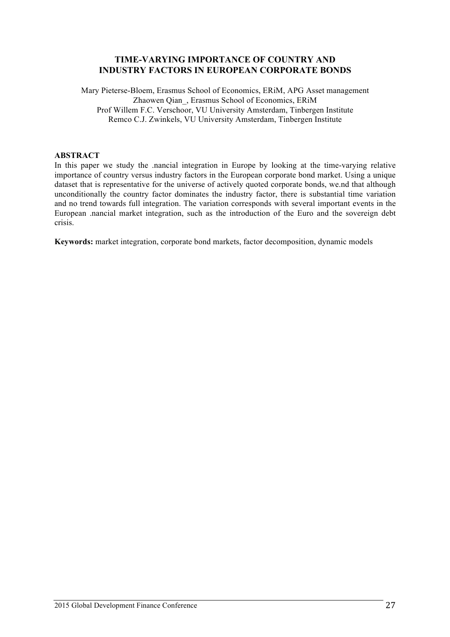# **TIME-VARYING IMPORTANCE OF COUNTRY AND INDUSTRY FACTORS IN EUROPEAN CORPORATE BONDS**

Mary Pieterse-Bloem, Erasmus School of Economics, ERiM, APG Asset management Zhaowen Qian\_, Erasmus School of Economics, ERiM Prof Willem F.C. Verschoor, VU University Amsterdam, Tinbergen Institute Remco C.J. Zwinkels, VU University Amsterdam, Tinbergen Institute

### **ABSTRACT**

In this paper we study the .nancial integration in Europe by looking at the time-varying relative importance of country versus industry factors in the European corporate bond market. Using a unique dataset that is representative for the universe of actively quoted corporate bonds, we.nd that although unconditionally the country factor dominates the industry factor, there is substantial time variation and no trend towards full integration. The variation corresponds with several important events in the European .nancial market integration, such as the introduction of the Euro and the sovereign debt crisis.

**Keywords:** market integration, corporate bond markets, factor decomposition, dynamic models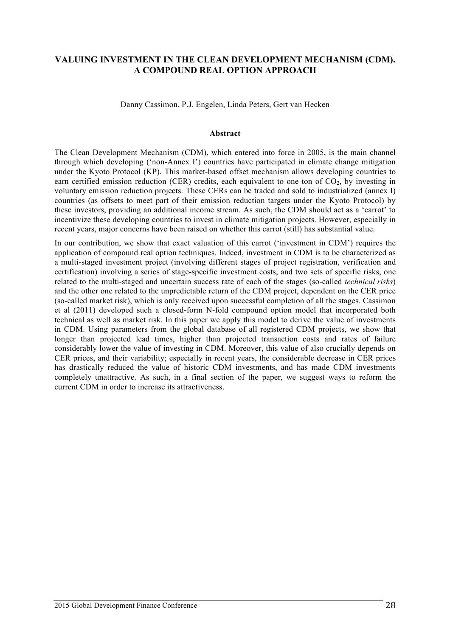# **VALUING INVESTMENT IN THE CLEAN DEVELOPMENT MECHANISM (CDM). A COMPOUND REAL OPTION APPROACH**

Danny Cassimon, P.J. Engelen, Linda Peters, Gert van Hecken

#### **Abstract**

The Clean Development Mechanism (CDM), which entered into force in 2005, is the main channel through which developing ('non-Annex I') countries have participated in climate change mitigation under the Kyoto Protocol (KP). This market-based offset mechanism allows developing countries to earn certified emission reduction (CER) credits, each equivalent to one ton of  $CO<sub>2</sub>$ , by investing in voluntary emission reduction projects. These CERs can be traded and sold to industrialized (annex I) countries (as offsets to meet part of their emission reduction targets under the Kyoto Protocol) by these investors, providing an additional income stream. As such, the CDM should act as a 'carrot' to incentivize these developing countries to invest in climate mitigation projects. However, especially in recent years, major concerns have been raised on whether this carrot (still) has substantial value.

In our contribution, we show that exact valuation of this carrot ('investment in CDM') requires the application of compound real option techniques. Indeed, investment in CDM is to be characterized as a multi-staged investment project (involving different stages of project registration, verification and certification) involving a series of stage-specific investment costs, and two sets of specific risks, one related to the multi-staged and uncertain success rate of each of the stages (so-called *technical risks*) and the other one related to the unpredictable return of the CDM project, dependent on the CER price (so-called market risk), which is only received upon successful completion of all the stages. Cassimon et al (2011) developed such a closed-form N-fold compound option model that incorporated both technical as well as market risk. In this paper we apply this model to derive the value of investments in CDM. Using parameters from the global database of all registered CDM projects, we show that longer than projected lead times, higher than projected transaction costs and rates of failure considerably lower the value of investing in CDM. Moreover, this value of also crucially depends on CER prices, and their variability; especially in recent years, the considerable decrease in CER prices has drastically reduced the value of historic CDM investments, and has made CDM investments completely unattractive. As such, in a final section of the paper, we suggest ways to reform the current CDM in order to increase its attractiveness.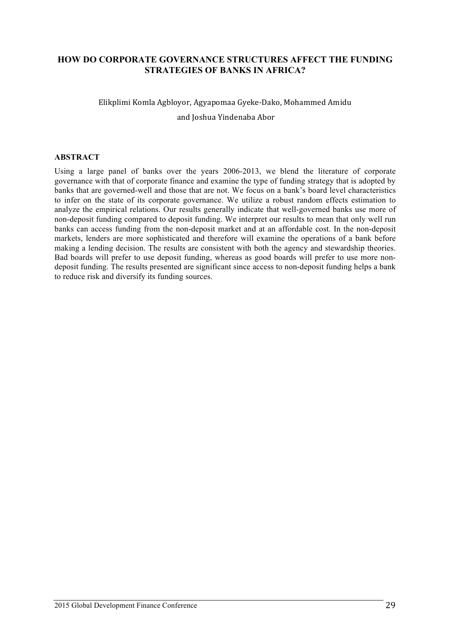# **HOW DO CORPORATE GOVERNANCE STRUCTURES AFFECT THE FUNDING STRATEGIES OF BANKS IN AFRICA?**

# Elikplimi Komla Agbloyor, Agyapomaa Gyeke-Dako, Mohammed Amidu and Joshua Yindenaba Abor

### **ABSTRACT**

Using a large panel of banks over the years 2006-2013, we blend the literature of corporate governance with that of corporate finance and examine the type of funding strategy that is adopted by banks that are governed-well and those that are not. We focus on a bank's board level characteristics to infer on the state of its corporate governance. We utilize a robust random effects estimation to analyze the empirical relations. Our results generally indicate that well-governed banks use more of non-deposit funding compared to deposit funding. We interpret our results to mean that only well run banks can access funding from the non-deposit market and at an affordable cost. In the non-deposit markets, lenders are more sophisticated and therefore will examine the operations of a bank before making a lending decision. The results are consistent with both the agency and stewardship theories. Bad boards will prefer to use deposit funding, whereas as good boards will prefer to use more nondeposit funding. The results presented are significant since access to non-deposit funding helps a bank to reduce risk and diversify its funding sources.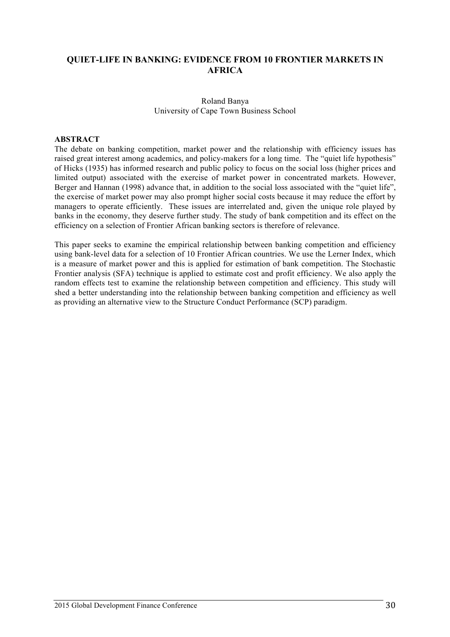# **QUIET-LIFE IN BANKING: EVIDENCE FROM 10 FRONTIER MARKETS IN AFRICA**

### Roland Banya University of Cape Town Business School

### **ABSTRACT**

The debate on banking competition, market power and the relationship with efficiency issues has raised great interest among academics, and policy-makers for a long time. The "quiet life hypothesis" of Hicks (1935) has informed research and public policy to focus on the social loss (higher prices and limited output) associated with the exercise of market power in concentrated markets. However, Berger and Hannan (1998) advance that, in addition to the social loss associated with the "quiet life", the exercise of market power may also prompt higher social costs because it may reduce the effort by managers to operate efficiently. These issues are interrelated and, given the unique role played by banks in the economy, they deserve further study. The study of bank competition and its effect on the efficiency on a selection of Frontier African banking sectors is therefore of relevance.

This paper seeks to examine the empirical relationship between banking competition and efficiency using bank-level data for a selection of 10 Frontier African countries. We use the Lerner Index, which is a measure of market power and this is applied for estimation of bank competition. The Stochastic Frontier analysis (SFA) technique is applied to estimate cost and profit efficiency. We also apply the random effects test to examine the relationship between competition and efficiency. This study will shed a better understanding into the relationship between banking competition and efficiency as well as providing an alternative view to the Structure Conduct Performance (SCP) paradigm.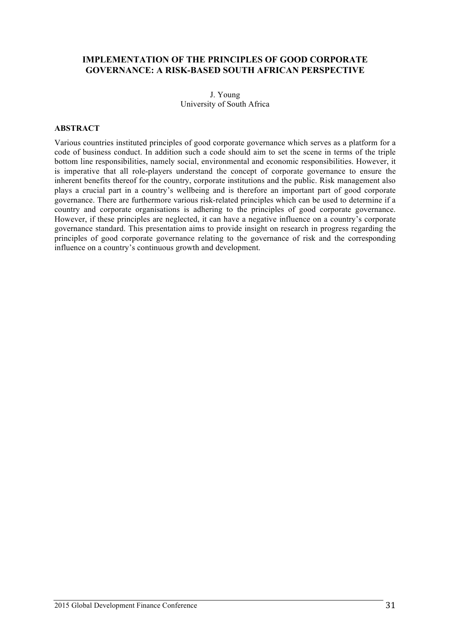## **IMPLEMENTATION OF THE PRINCIPLES OF GOOD CORPORATE GOVERNANCE: A RISK-BASED SOUTH AFRICAN PERSPECTIVE**

J. Young University of South Africa

# **ABSTRACT**

Various countries instituted principles of good corporate governance which serves as a platform for a code of business conduct. In addition such a code should aim to set the scene in terms of the triple bottom line responsibilities, namely social, environmental and economic responsibilities. However, it is imperative that all role-players understand the concept of corporate governance to ensure the inherent benefits thereof for the country, corporate institutions and the public. Risk management also plays a crucial part in a country's wellbeing and is therefore an important part of good corporate governance. There are furthermore various risk-related principles which can be used to determine if a country and corporate organisations is adhering to the principles of good corporate governance. However, if these principles are neglected, it can have a negative influence on a country's corporate governance standard. This presentation aims to provide insight on research in progress regarding the principles of good corporate governance relating to the governance of risk and the corresponding influence on a country's continuous growth and development.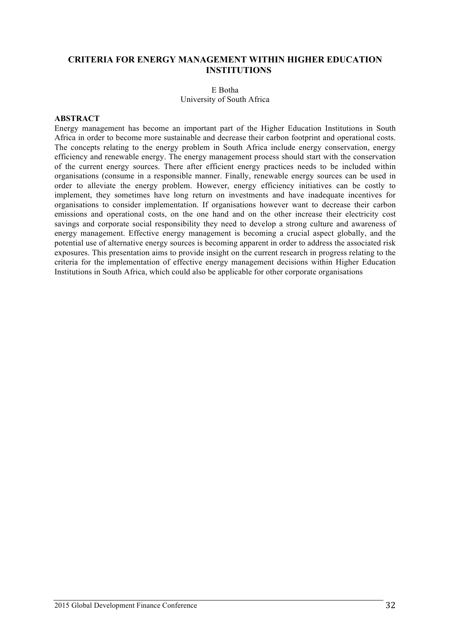# **CRITERIA FOR ENERGY MANAGEMENT WITHIN HIGHER EDUCATION INSTITUTIONS**

#### E Botha University of South Africa

#### **ABSTRACT**

Energy management has become an important part of the Higher Education Institutions in South Africa in order to become more sustainable and decrease their carbon footprint and operational costs. The concepts relating to the energy problem in South Africa include energy conservation, energy efficiency and renewable energy. The energy management process should start with the conservation of the current energy sources. There after efficient energy practices needs to be included within organisations (consume in a responsible manner. Finally, renewable energy sources can be used in order to alleviate the energy problem. However, energy efficiency initiatives can be costly to implement, they sometimes have long return on investments and have inadequate incentives for organisations to consider implementation. If organisations however want to decrease their carbon emissions and operational costs, on the one hand and on the other increase their electricity cost savings and corporate social responsibility they need to develop a strong culture and awareness of energy management. Effective energy management is becoming a crucial aspect globally, and the potential use of alternative energy sources is becoming apparent in order to address the associated risk exposures. This presentation aims to provide insight on the current research in progress relating to the criteria for the implementation of effective energy management decisions within Higher Education Institutions in South Africa, which could also be applicable for other corporate organisations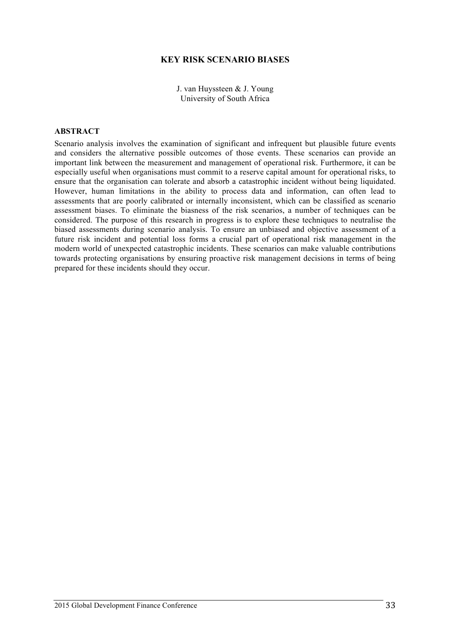# **KEY RISK SCENARIO BIASES**

J. van Huyssteen & J. Young University of South Africa

#### **ABSTRACT**

Scenario analysis involves the examination of significant and infrequent but plausible future events and considers the alternative possible outcomes of those events. These scenarios can provide an important link between the measurement and management of operational risk. Furthermore, it can be especially useful when organisations must commit to a reserve capital amount for operational risks, to ensure that the organisation can tolerate and absorb a catastrophic incident without being liquidated. However, human limitations in the ability to process data and information, can often lead to assessments that are poorly calibrated or internally inconsistent, which can be classified as scenario assessment biases. To eliminate the biasness of the risk scenarios, a number of techniques can be considered. The purpose of this research in progress is to explore these techniques to neutralise the biased assessments during scenario analysis. To ensure an unbiased and objective assessment of a future risk incident and potential loss forms a crucial part of operational risk management in the modern world of unexpected catastrophic incidents. These scenarios can make valuable contributions towards protecting organisations by ensuring proactive risk management decisions in terms of being prepared for these incidents should they occur.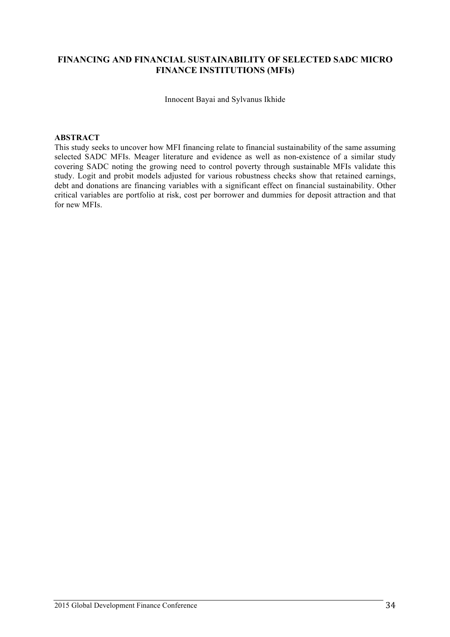# **FINANCING AND FINANCIAL SUSTAINABILITY OF SELECTED SADC MICRO FINANCE INSTITUTIONS (MFIs)**

Innocent Bayai and Sylvanus Ikhide

### **ABSTRACT**

This study seeks to uncover how MFI financing relate to financial sustainability of the same assuming selected SADC MFIs. Meager literature and evidence as well as non-existence of a similar study covering SADC noting the growing need to control poverty through sustainable MFIs validate this study. Logit and probit models adjusted for various robustness checks show that retained earnings, debt and donations are financing variables with a significant effect on financial sustainability. Other critical variables are portfolio at risk, cost per borrower and dummies for deposit attraction and that for new MFIs.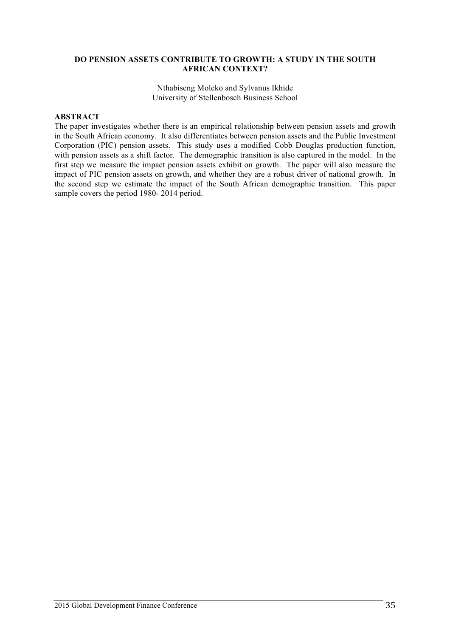#### **DO PENSION ASSETS CONTRIBUTE TO GROWTH: A STUDY IN THE SOUTH AFRICAN CONTEXT?**

Nthabiseng Moleko and Sylvanus Ikhide University of Stellenbosch Business School

#### **ABSTRACT**

The paper investigates whether there is an empirical relationship between pension assets and growth in the South African economy. It also differentiates between pension assets and the Public Investment Corporation (PIC) pension assets. This study uses a modified Cobb Douglas production function, with pension assets as a shift factor. The demographic transition is also captured in the model. In the first step we measure the impact pension assets exhibit on growth. The paper will also measure the impact of PIC pension assets on growth, and whether they are a robust driver of national growth. In the second step we estimate the impact of the South African demographic transition. This paper sample covers the period 1980- 2014 period.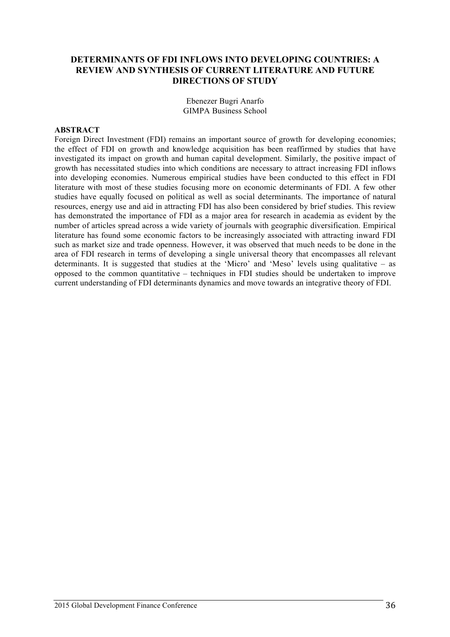# **DETERMINANTS OF FDI INFLOWS INTO DEVELOPING COUNTRIES: A REVIEW AND SYNTHESIS OF CURRENT LITERATURE AND FUTURE DIRECTIONS OF STUDY**

Ebenezer Bugri Anarfo GIMPA Business School

### **ABSTRACT**

Foreign Direct Investment (FDI) remains an important source of growth for developing economies; the effect of FDI on growth and knowledge acquisition has been reaffirmed by studies that have investigated its impact on growth and human capital development. Similarly, the positive impact of growth has necessitated studies into which conditions are necessary to attract increasing FDI inflows into developing economies. Numerous empirical studies have been conducted to this effect in FDI literature with most of these studies focusing more on economic determinants of FDI. A few other studies have equally focused on political as well as social determinants. The importance of natural resources, energy use and aid in attracting FDI has also been considered by brief studies. This review has demonstrated the importance of FDI as a major area for research in academia as evident by the number of articles spread across a wide variety of journals with geographic diversification. Empirical literature has found some economic factors to be increasingly associated with attracting inward FDI such as market size and trade openness. However, it was observed that much needs to be done in the area of FDI research in terms of developing a single universal theory that encompasses all relevant determinants. It is suggested that studies at the 'Micro' and 'Meso' levels using qualitative – as opposed to the common quantitative – techniques in FDI studies should be undertaken to improve current understanding of FDI determinants dynamics and move towards an integrative theory of FDI.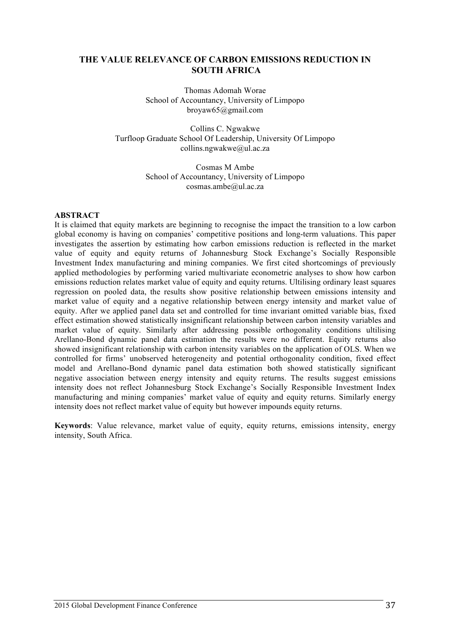# **THE VALUE RELEVANCE OF CARBON EMISSIONS REDUCTION IN SOUTH AFRICA**

Thomas Adomah Worae School of Accountancy, University of Limpopo broyaw65@gmail.com

Collins C. Ngwakwe Turfloop Graduate School Of Leadership, University Of Limpopo collins.ngwakwe@ul.ac.za

> Cosmas M Ambe School of Accountancy, University of Limpopo cosmas.ambe@ul.ac.za

#### **ABSTRACT**

It is claimed that equity markets are beginning to recognise the impact the transition to a low carbon global economy is having on companies' competitive positions and long-term valuations. This paper investigates the assertion by estimating how carbon emissions reduction is reflected in the market value of equity and equity returns of Johannesburg Stock Exchange's Socially Responsible Investment Index manufacturing and mining companies. We first cited shortcomings of previously applied methodologies by performing varied multivariate econometric analyses to show how carbon emissions reduction relates market value of equity and equity returns. Ultilising ordinary least squares regression on pooled data, the results show positive relationship between emissions intensity and market value of equity and a negative relationship between energy intensity and market value of equity. After we applied panel data set and controlled for time invariant omitted variable bias, fixed effect estimation showed statistically insignificant relationship between carbon intensity variables and market value of equity. Similarly after addressing possible orthogonality conditions ultilising Arellano-Bond dynamic panel data estimation the results were no different. Equity returns also showed insignificant relationship with carbon intensity variables on the application of OLS. When we controlled for firms' unobserved heterogeneity and potential orthogonality condition, fixed effect model and Arellano-Bond dynamic panel data estimation both showed statistically significant negative association between energy intensity and equity returns. The results suggest emissions intensity does not reflect Johannesburg Stock Exchange's Socially Responsible Investment Index manufacturing and mining companies' market value of equity and equity returns. Similarly energy intensity does not reflect market value of equity but however impounds equity returns.

**Keywords**: Value relevance, market value of equity, equity returns, emissions intensity, energy intensity, South Africa.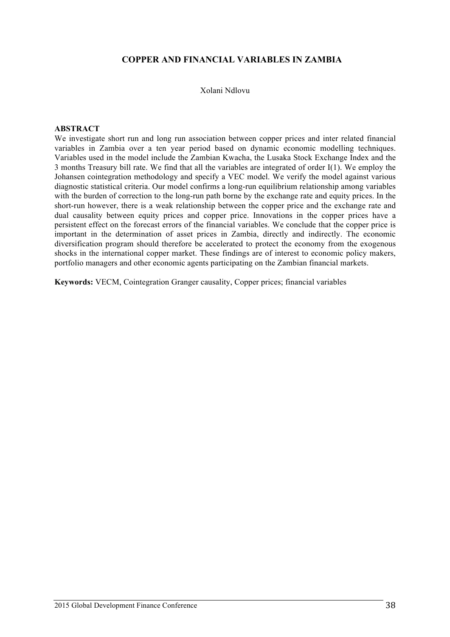# **COPPER AND FINANCIAL VARIABLES IN ZAMBIA**

#### Xolani Ndlovu

### **ABSTRACT**

We investigate short run and long run association between copper prices and inter related financial variables in Zambia over a ten year period based on dynamic economic modelling techniques. Variables used in the model include the Zambian Kwacha, the Lusaka Stock Exchange Index and the 3 months Treasury bill rate. We find that all the variables are integrated of order I(1). We employ the Johansen cointegration methodology and specify a VEC model. We verify the model against various diagnostic statistical criteria. Our model confirms a long-run equilibrium relationship among variables with the burden of correction to the long-run path borne by the exchange rate and equity prices. In the short-run however, there is a weak relationship between the copper price and the exchange rate and dual causality between equity prices and copper price. Innovations in the copper prices have a persistent effect on the forecast errors of the financial variables. We conclude that the copper price is important in the determination of asset prices in Zambia, directly and indirectly. The economic diversification program should therefore be accelerated to protect the economy from the exogenous shocks in the international copper market. These findings are of interest to economic policy makers, portfolio managers and other economic agents participating on the Zambian financial markets.

**Keywords:** VECM, Cointegration Granger causality, Copper prices; financial variables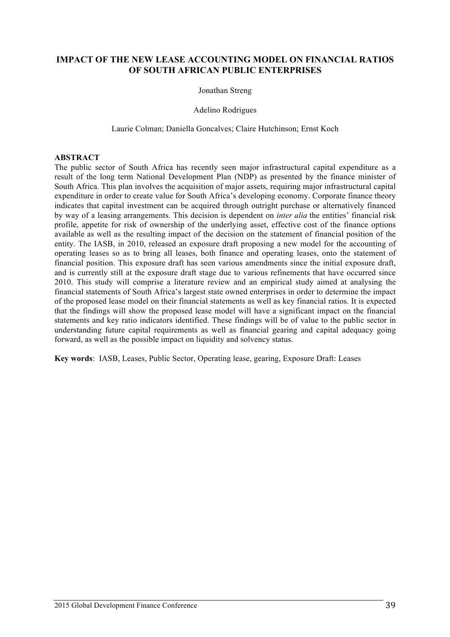# **IMPACT OF THE NEW LEASE ACCOUNTING MODEL ON FINANCIAL RATIOS OF SOUTH AFRICAN PUBLIC ENTERPRISES**

Jonathan Streng

Adelino Rodrigues

### Laurie Colman; Daniella Goncalves; Claire Hutchinson; Ernst Koch

### **ABSTRACT**

The public sector of South Africa has recently seen major infrastructural capital expenditure as a result of the long term National Development Plan (NDP) as presented by the finance minister of South Africa. This plan involves the acquisition of major assets, requiring major infrastructural capital expenditure in order to create value for South Africa's developing economy. Corporate finance theory indicates that capital investment can be acquired through outright purchase or alternatively financed by way of a leasing arrangements. This decision is dependent on *inter alia* the entities' financial risk profile, appetite for risk of ownership of the underlying asset, effective cost of the finance options available as well as the resulting impact of the decision on the statement of financial position of the entity. The IASB, in 2010, released an exposure draft proposing a new model for the accounting of operating leases so as to bring all leases, both finance and operating leases, onto the statement of financial position. This exposure draft has seen various amendments since the initial exposure draft, and is currently still at the exposure draft stage due to various refinements that have occurred since 2010. This study will comprise a literature review and an empirical study aimed at analysing the financial statements of South Africa's largest state owned enterprises in order to determine the impact of the proposed lease model on their financial statements as well as key financial ratios. It is expected that the findings will show the proposed lease model will have a significant impact on the financial statements and key ratio indicators identified. These findings will be of value to the public sector in understanding future capital requirements as well as financial gearing and capital adequacy going forward, as well as the possible impact on liquidity and solvency status.

**Key words**: IASB, Leases, Public Sector, Operating lease, gearing, Exposure Draft: Leases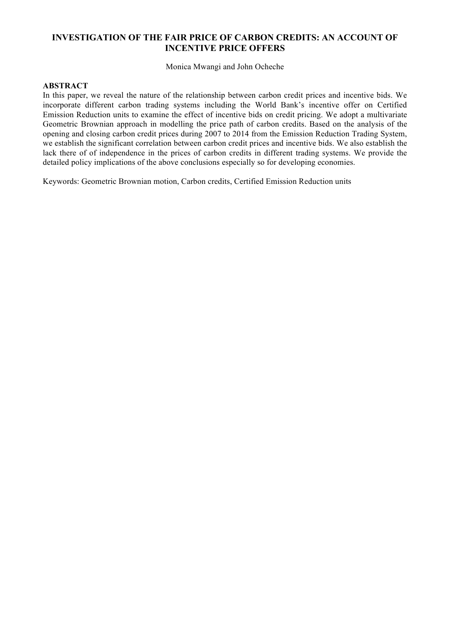# **INVESTIGATION OF THE FAIR PRICE OF CARBON CREDITS: AN ACCOUNT OF INCENTIVE PRICE OFFERS**

Monica Mwangi and John Ocheche

#### **ABSTRACT**

In this paper, we reveal the nature of the relationship between carbon credit prices and incentive bids. We incorporate different carbon trading systems including the World Bank's incentive offer on Certified Emission Reduction units to examine the effect of incentive bids on credit pricing. We adopt a multivariate Geometric Brownian approach in modelling the price path of carbon credits. Based on the analysis of the opening and closing carbon credit prices during 2007 to 2014 from the Emission Reduction Trading System, we establish the significant correlation between carbon credit prices and incentive bids. We also establish the lack there of of independence in the prices of carbon credits in different trading systems. We provide the detailed policy implications of the above conclusions especially so for developing economies.

Keywords: Geometric Brownian motion, Carbon credits, Certified Emission Reduction units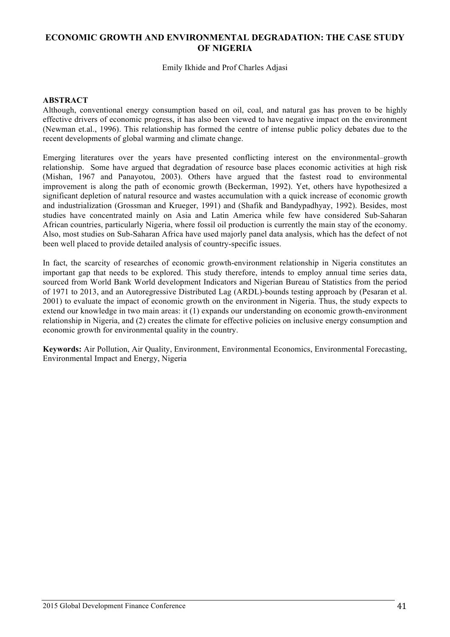# **ECONOMIC GROWTH AND ENVIRONMENTAL DEGRADATION: THE CASE STUDY OF NIGERIA**

Emily Ikhide and Prof Charles Adjasi

### **ABSTRACT**

Although, conventional energy consumption based on oil, coal, and natural gas has proven to be highly effective drivers of economic progress, it has also been viewed to have negative impact on the environment (Newman et.al., 1996). This relationship has formed the centre of intense public policy debates due to the recent developments of global warming and climate change.

Emerging literatures over the years have presented conflicting interest on the environmental–growth relationship. Some have argued that degradation of resource base places economic activities at high risk (Mishan, 1967 and Panayotou, 2003). Others have argued that the fastest road to environmental improvement is along the path of economic growth (Beckerman, 1992). Yet, others have hypothesized a significant depletion of natural resource and wastes accumulation with a quick increase of economic growth and industrialization (Grossman and Krueger, 1991) and (Shafik and Bandypadhyay, 1992). Besides, most studies have concentrated mainly on Asia and Latin America while few have considered Sub-Saharan African countries, particularly Nigeria, where fossil oil production is currently the main stay of the economy. Also, most studies on Sub-Saharan Africa have used majorly panel data analysis, which has the defect of not been well placed to provide detailed analysis of country-specific issues.

In fact, the scarcity of researches of economic growth-environment relationship in Nigeria constitutes an important gap that needs to be explored. This study therefore, intends to employ annual time series data, sourced from World Bank World development Indicators and Nigerian Bureau of Statistics from the period of 1971 to 2013, and an Autoregressive Distributed Lag (ARDL)-bounds testing approach by (Pesaran et al. 2001) to evaluate the impact of economic growth on the environment in Nigeria. Thus, the study expects to extend our knowledge in two main areas: it (1) expands our understanding on economic growth-environment relationship in Nigeria, and (2) creates the climate for effective policies on inclusive energy consumption and economic growth for environmental quality in the country.

**Keywords:** Air Pollution, Air Quality, Environment, Environmental Economics, Environmental Forecasting, Environmental Impact and Energy, Nigeria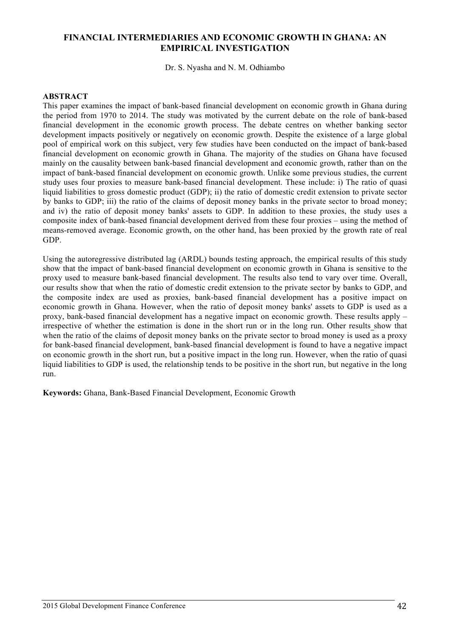# **FINANCIAL INTERMEDIARIES AND ECONOMIC GROWTH IN GHANA: AN EMPIRICAL INVESTIGATION**

Dr. S. Nyasha and N. M. Odhiambo

#### **ABSTRACT**

This paper examines the impact of bank-based financial development on economic growth in Ghana during the period from 1970 to 2014. The study was motivated by the current debate on the role of bank-based financial development in the economic growth process. The debate centres on whether banking sector development impacts positively or negatively on economic growth. Despite the existence of a large global pool of empirical work on this subject, very few studies have been conducted on the impact of bank-based financial development on economic growth in Ghana. The majority of the studies on Ghana have focused mainly on the causality between bank-based financial development and economic growth, rather than on the impact of bank-based financial development on economic growth. Unlike some previous studies, the current study uses four proxies to measure bank-based financial development. These include: i) The ratio of quasi liquid liabilities to gross domestic product (GDP); ii) the ratio of domestic credit extension to private sector by banks to GDP; iii) the ratio of the claims of deposit money banks in the private sector to broad money; and iv) the ratio of deposit money banks' assets to GDP. In addition to these proxies, the study uses a composite index of bank-based financial development derived from these four proxies – using the method of means-removed average. Economic growth, on the other hand, has been proxied by the growth rate of real GDP.

Using the autoregressive distributed lag (ARDL) bounds testing approach, the empirical results of this study show that the impact of bank-based financial development on economic growth in Ghana is sensitive to the proxy used to measure bank-based financial development. The results also tend to vary over time. Overall, our results show that when the ratio of domestic credit extension to the private sector by banks to GDP, and the composite index are used as proxies, bank-based financial development has a positive impact on economic growth in Ghana. However, when the ratio of deposit money banks' assets to GDP is used as a proxy, bank-based financial development has a negative impact on economic growth. These results apply – irrespective of whether the estimation is done in the short run or in the long run. Other results show that when the ratio of the claims of deposit money banks on the private sector to broad money is used as a proxy for bank-based financial development, bank-based financial development is found to have a negative impact on economic growth in the short run, but a positive impact in the long run. However, when the ratio of quasi liquid liabilities to GDP is used, the relationship tends to be positive in the short run, but negative in the long run.

**Keywords:** Ghana, Bank-Based Financial Development, Economic Growth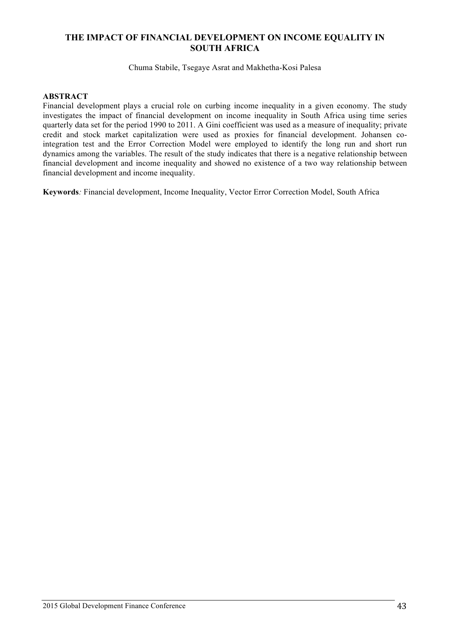# **THE IMPACT OF FINANCIAL DEVELOPMENT ON INCOME EQUALITY IN SOUTH AFRICA**

Chuma Stabile, Tsegaye Asrat and Makhetha-Kosi Palesa

#### **ABSTRACT**

Financial development plays a crucial role on curbing income inequality in a given economy. The study investigates the impact of financial development on income inequality in South Africa using time series quarterly data set for the period 1990 to 2011. A Gini coefficient was used as a measure of inequality; private credit and stock market capitalization were used as proxies for financial development. Johansen cointegration test and the Error Correction Model were employed to identify the long run and short run dynamics among the variables. The result of the study indicates that there is a negative relationship between financial development and income inequality and showed no existence of a two way relationship between financial development and income inequality.

**Keywords***:* Financial development, Income Inequality, Vector Error Correction Model, South Africa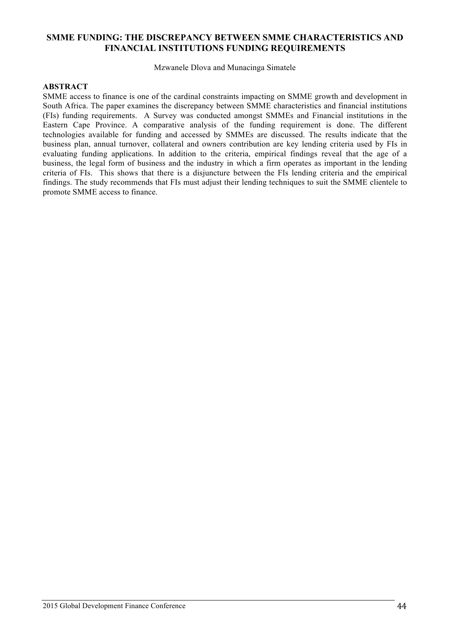# **SMME FUNDING: THE DISCREPANCY BETWEEN SMME CHARACTERISTICS AND FINANCIAL INSTITUTIONS FUNDING REQUIREMENTS**

Mzwanele Dlova and Munacinga Simatele

#### **ABSTRACT**

SMME access to finance is one of the cardinal constraints impacting on SMME growth and development in South Africa. The paper examines the discrepancy between SMME characteristics and financial institutions (FIs) funding requirements. A Survey was conducted amongst SMMEs and Financial institutions in the Eastern Cape Province. A comparative analysis of the funding requirement is done. The different technologies available for funding and accessed by SMMEs are discussed. The results indicate that the business plan, annual turnover, collateral and owners contribution are key lending criteria used by FIs in evaluating funding applications. In addition to the criteria, empirical findings reveal that the age of a business, the legal form of business and the industry in which a firm operates as important in the lending criteria of FIs. This shows that there is a disjuncture between the FIs lending criteria and the empirical findings. The study recommends that FIs must adjust their lending techniques to suit the SMME clientele to promote SMME access to finance.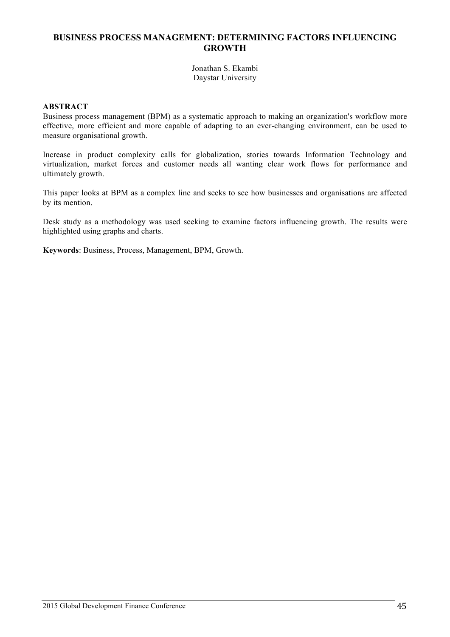# **BUSINESS PROCESS MANAGEMENT: DETERMINING FACTORS INFLUENCING GROWTH**

Jonathan S. Ekambi Daystar University

### **ABSTRACT**

Business process management (BPM) as a systematic approach to making an organization's workflow more effective, more efficient and more capable of adapting to an ever-changing environment, can be used to measure organisational growth.

Increase in product complexity calls for globalization, stories towards Information Technology and virtualization, market forces and customer needs all wanting clear work flows for performance and ultimately growth.

This paper looks at BPM as a complex line and seeks to see how businesses and organisations are affected by its mention.

Desk study as a methodology was used seeking to examine factors influencing growth. The results were highlighted using graphs and charts.

**Keywords**: Business, Process, Management, BPM, Growth.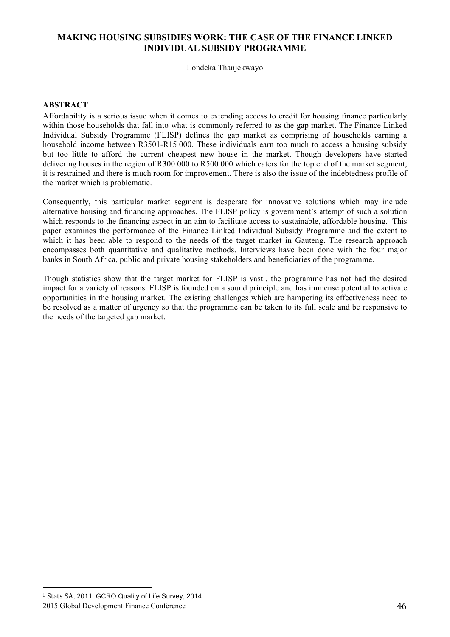# **MAKING HOUSING SUBSIDIES WORK: THE CASE OF THE FINANCE LINKED INDIVIDUAL SUBSIDY PROGRAMME**

Londeka Thanjekwayo

### **ABSTRACT**

Affordability is a serious issue when it comes to extending access to credit for housing finance particularly within those households that fall into what is commonly referred to as the gap market. The Finance Linked Individual Subsidy Programme (FLISP) defines the gap market as comprising of households earning a household income between R3501-R15 000. These individuals earn too much to access a housing subsidy but too little to afford the current cheapest new house in the market. Though developers have started delivering houses in the region of R300 000 to R500 000 which caters for the top end of the market segment, it is restrained and there is much room for improvement. There is also the issue of the indebtedness profile of the market which is problematic.

Consequently, this particular market segment is desperate for innovative solutions which may include alternative housing and financing approaches. The FLISP policy is government's attempt of such a solution which responds to the financing aspect in an aim to facilitate access to sustainable, affordable housing. This paper examines the performance of the Finance Linked Individual Subsidy Programme and the extent to which it has been able to respond to the needs of the target market in Gauteng. The research approach encompasses both quantitative and qualitative methods. Interviews have been done with the four major banks in South Africa, public and private housing stakeholders and beneficiaries of the programme.

Though statistics show that the target market for FLISP is vast<sup>1</sup>, the programme has not had the desired impact for a variety of reasons. FLISP is founded on a sound principle and has immense potential to activate opportunities in the housing market. The existing challenges which are hampering its effectiveness need to be resolved as a matter of urgency so that the programme can be taken to its full scale and be responsive to the needs of the targeted gap market.

"""""""""""""""""""""""""""""""""""""""""""""""""""""""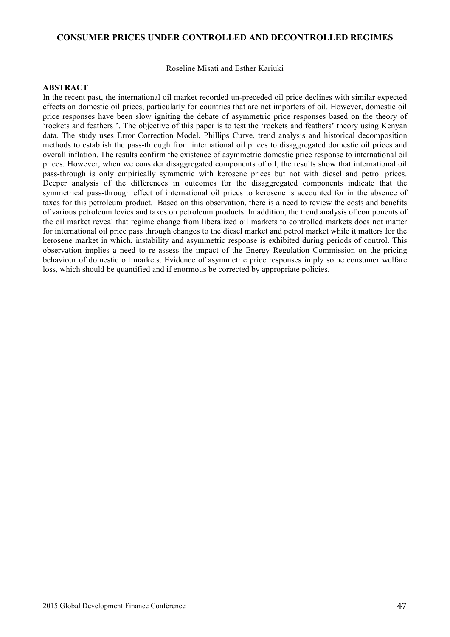# **CONSUMER PRICES UNDER CONTROLLED AND DECONTROLLED REGIMES**

Roseline Misati and Esther Kariuki

### **ABSTRACT**

In the recent past, the international oil market recorded un-preceded oil price declines with similar expected effects on domestic oil prices, particularly for countries that are net importers of oil. However, domestic oil price responses have been slow igniting the debate of asymmetric price responses based on the theory of 'rockets and feathers '. The objective of this paper is to test the 'rockets and feathers' theory using Kenyan data. The study uses Error Correction Model, Phillips Curve, trend analysis and historical decomposition methods to establish the pass-through from international oil prices to disaggregated domestic oil prices and overall inflation. The results confirm the existence of asymmetric domestic price response to international oil prices. However, when we consider disaggregated components of oil, the results show that international oil pass-through is only empirically symmetric with kerosene prices but not with diesel and petrol prices. Deeper analysis of the differences in outcomes for the disaggregated components indicate that the symmetrical pass-through effect of international oil prices to kerosene is accounted for in the absence of taxes for this petroleum product. Based on this observation, there is a need to review the costs and benefits of various petroleum levies and taxes on petroleum products. In addition, the trend analysis of components of the oil market reveal that regime change from liberalized oil markets to controlled markets does not matter for international oil price pass through changes to the diesel market and petrol market while it matters for the kerosene market in which, instability and asymmetric response is exhibited during periods of control. This observation implies a need to re assess the impact of the Energy Regulation Commission on the pricing behaviour of domestic oil markets. Evidence of asymmetric price responses imply some consumer welfare loss, which should be quantified and if enormous be corrected by appropriate policies.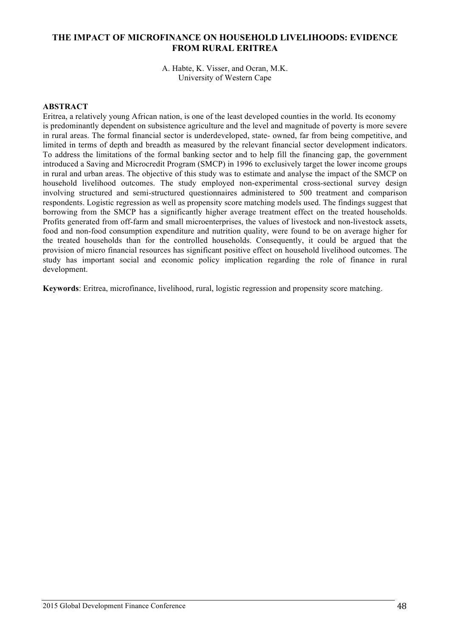# **THE IMPACT OF MICROFINANCE ON HOUSEHOLD LIVELIHOODS: EVIDENCE FROM RURAL ERITREA**

A. Habte, K. Visser, and Ocran, M.K. University of Western Cape

#### **ABSTRACT**

Eritrea, a relatively young African nation, is one of the least developed counties in the world. Its economy is predominantly dependent on subsistence agriculture and the level and magnitude of poverty is more severe in rural areas. The formal financial sector is underdeveloped, state- owned, far from being competitive, and limited in terms of depth and breadth as measured by the relevant financial sector development indicators. To address the limitations of the formal banking sector and to help fill the financing gap, the government introduced a Saving and Microcredit Program (SMCP) in 1996 to exclusively target the lower income groups in rural and urban areas. The objective of this study was to estimate and analyse the impact of the SMCP on household livelihood outcomes. The study employed non-experimental cross-sectional survey design involving structured and semi-structured questionnaires administered to 500 treatment and comparison respondents. Logistic regression as well as propensity score matching models used. The findings suggest that borrowing from the SMCP has a significantly higher average treatment effect on the treated households. Profits generated from off-farm and small microenterprises, the values of livestock and non-livestock assets, food and non-food consumption expenditure and nutrition quality, were found to be on average higher for the treated households than for the controlled households. Consequently, it could be argued that the provision of micro financial resources has significant positive effect on household livelihood outcomes. The study has important social and economic policy implication regarding the role of finance in rural development.

**Keywords**: Eritrea, microfinance, livelihood, rural, logistic regression and propensity score matching.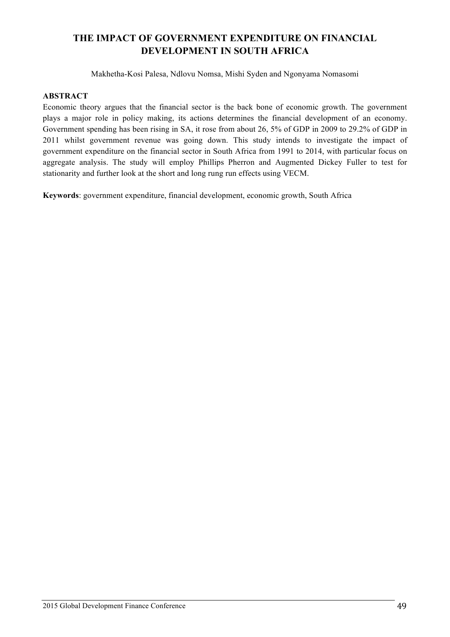# **THE IMPACT OF GOVERNMENT EXPENDITURE ON FINANCIAL DEVELOPMENT IN SOUTH AFRICA**

Makhetha-Kosi Palesa, Ndlovu Nomsa, Mishi Syden and Ngonyama Nomasomi

# **ABSTRACT**

Economic theory argues that the financial sector is the back bone of economic growth. The government plays a major role in policy making, its actions determines the financial development of an economy. Government spending has been rising in SA, it rose from about 26, 5% of GDP in 2009 to 29.2% of GDP in 2011 whilst government revenue was going down. This study intends to investigate the impact of government expenditure on the financial sector in South Africa from 1991 to 2014, with particular focus on aggregate analysis. The study will employ Phillips Pherron and Augmented Dickey Fuller to test for stationarity and further look at the short and long rung run effects using VECM.

**Keywords**: government expenditure, financial development, economic growth, South Africa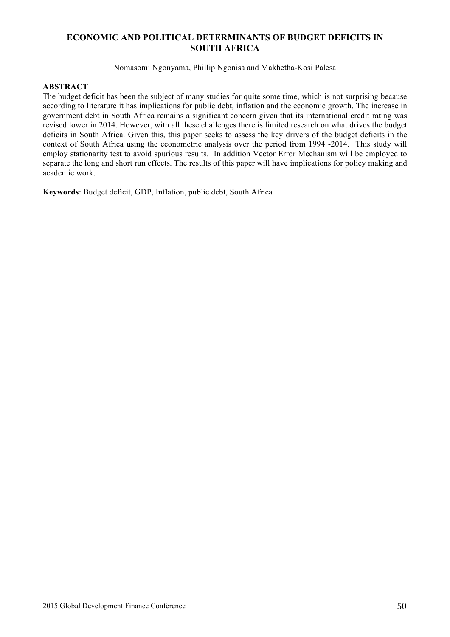# **ECONOMIC AND POLITICAL DETERMINANTS OF BUDGET DEFICITS IN SOUTH AFRICA**

Nomasomi Ngonyama, Phillip Ngonisa and Makhetha-Kosi Palesa

### **ABSTRACT**

The budget deficit has been the subject of many studies for quite some time, which is not surprising because according to literature it has implications for public debt, inflation and the economic growth. The increase in government debt in South Africa remains a significant concern given that its international credit rating was revised lower in 2014. However, with all these challenges there is limited research on what drives the budget deficits in South Africa. Given this, this paper seeks to assess the key drivers of the budget deficits in the context of South Africa using the econometric analysis over the period from 1994 -2014. This study will employ stationarity test to avoid spurious results. In addition Vector Error Mechanism will be employed to separate the long and short run effects. The results of this paper will have implications for policy making and academic work.

**Keywords**: Budget deficit, GDP, Inflation, public debt, South Africa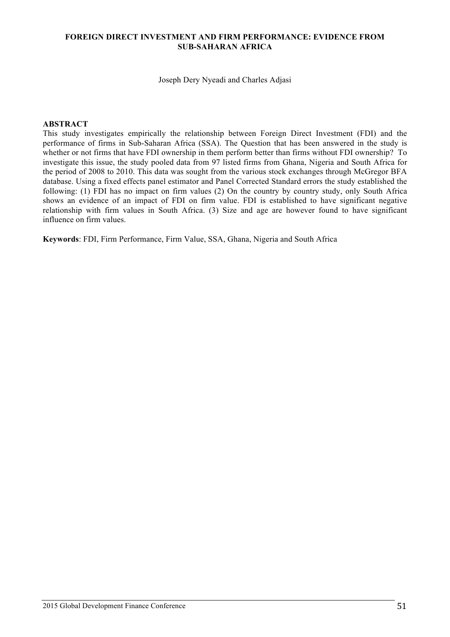### **FOREIGN DIRECT INVESTMENT AND FIRM PERFORMANCE: EVIDENCE FROM SUB-SAHARAN AFRICA**

Joseph Dery Nyeadi and Charles Adjasi

#### **ABSTRACT**

This study investigates empirically the relationship between Foreign Direct Investment (FDI) and the performance of firms in Sub-Saharan Africa (SSA). The Question that has been answered in the study is whether or not firms that have FDI ownership in them perform better than firms without FDI ownership? To investigate this issue, the study pooled data from 97 listed firms from Ghana, Nigeria and South Africa for the period of 2008 to 2010. This data was sought from the various stock exchanges through McGregor BFA database. Using a fixed effects panel estimator and Panel Corrected Standard errors the study established the following: (1) FDI has no impact on firm values (2) On the country by country study, only South Africa shows an evidence of an impact of FDI on firm value. FDI is established to have significant negative relationship with firm values in South Africa. (3) Size and age are however found to have significant influence on firm values.

**Keywords**: FDI, Firm Performance, Firm Value, SSA, Ghana, Nigeria and South Africa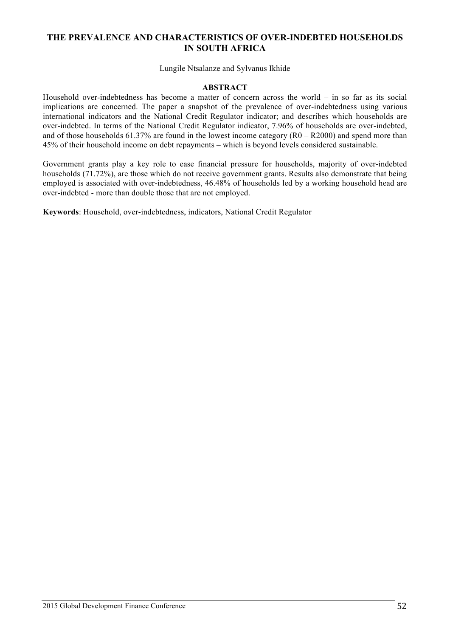# **THE PREVALENCE AND CHARACTERISTICS OF OVER-INDEBTED HOUSEHOLDS IN SOUTH AFRICA**

Lungile Ntsalanze and Sylvanus Ikhide

### **ABSTRACT**

Household over-indebtedness has become a matter of concern across the world – in so far as its social implications are concerned. The paper a snapshot of the prevalence of over-indebtedness using various international indicators and the National Credit Regulator indicator; and describes which households are over-indebted. In terms of the National Credit Regulator indicator, 7.96% of households are over-indebted, and of those households  $61.37\%$  are found in the lowest income category  $(R0 - R2000)$  and spend more than 45% of their household income on debt repayments – which is beyond levels considered sustainable.

Government grants play a key role to ease financial pressure for households, majority of over-indebted households (71.72%), are those which do not receive government grants. Results also demonstrate that being employed is associated with over-indebtedness, 46.48% of households led by a working household head are over-indebted - more than double those that are not employed.

**Keywords**: Household, over-indebtedness, indicators, National Credit Regulator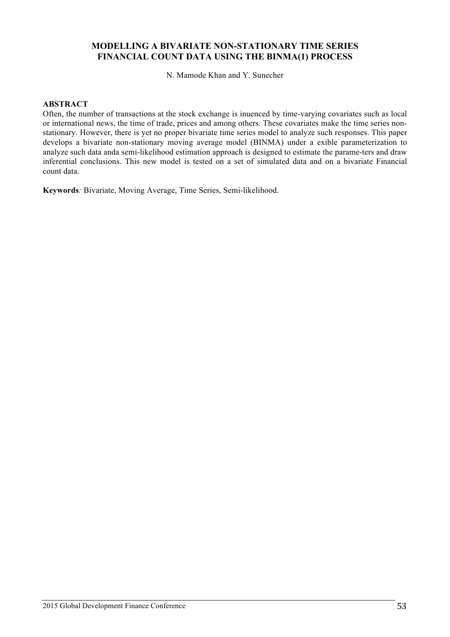# **MODELLING A BIVARIATE NON-STATIONARY TIME SERIES FINANCIAL COUNT DATA USING THE BINMA(1) PROCESS**

N. Mamode Khan and Y. Sunecher

### **ABSTRACT**

Often, the number of transactions at the stock exchange is inuenced by time-varying covariates such as local or international news, the time of trade, prices and among others. These covariates make the time series nonstationary. However, there is yet no proper bivariate time series model to analyze such responses. This paper develops a bivariate non-stationary moving average model (BINMA) under a exible parameterization to analyze such data anda semi-likelihood estimation approach is designed to estimate the parame-ters and draw inferential conclusions. This new model is tested on a set of simulated data and on a bivariate Financial count data.

**Keywords***:* Bivariate, Moving Average, Time Series, Semi-likelihood.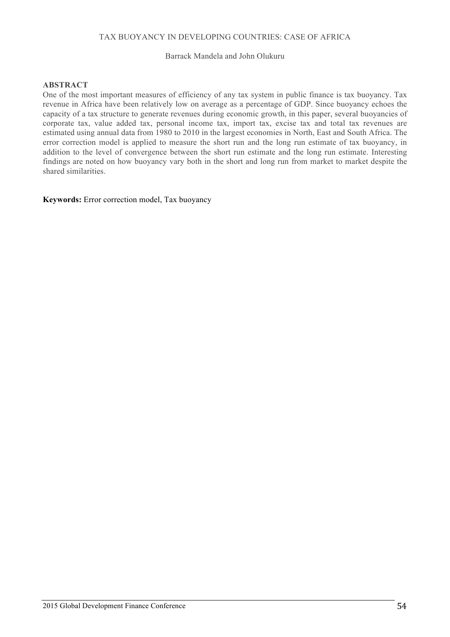### TAX BUOYANCY IN DEVELOPING COUNTRIES: CASE OF AFRICA

#### Barrack Mandela and John Olukuru

#### **ABSTRACT**

One of the most important measures of efficiency of any tax system in public finance is tax buoyancy. Tax revenue in Africa have been relatively low on average as a percentage of GDP. Since buoyancy echoes the capacity of a tax structure to generate revenues during economic growth, in this paper, several buoyancies of corporate tax, value added tax, personal income tax, import tax, excise tax and total tax revenues are estimated using annual data from 1980 to 2010 in the largest economies in North, East and South Africa. The error correction model is applied to measure the short run and the long run estimate of tax buoyancy, in addition to the level of convergence between the short run estimate and the long run estimate. Interesting findings are noted on how buoyancy vary both in the short and long run from market to market despite the shared similarities.

**Keywords:** Error correction model, Tax buoyancy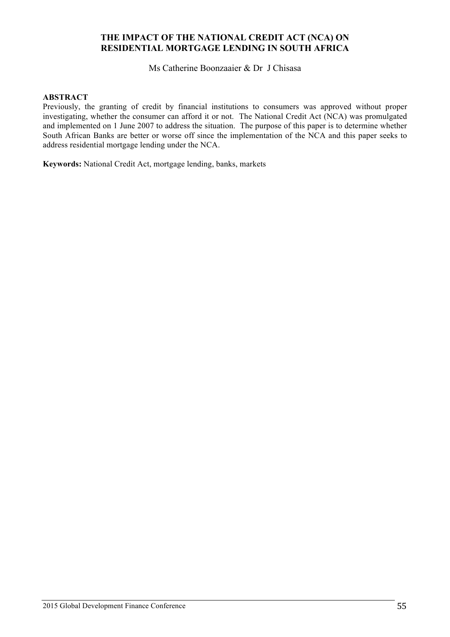# **THE IMPACT OF THE NATIONAL CREDIT ACT (NCA) ON RESIDENTIAL MORTGAGE LENDING IN SOUTH AFRICA**

Ms Catherine Boonzaaier & Dr J Chisasa

### **ABSTRACT**

Previously, the granting of credit by financial institutions to consumers was approved without proper investigating, whether the consumer can afford it or not. The National Credit Act (NCA) was promulgated and implemented on 1 June 2007 to address the situation. The purpose of this paper is to determine whether South African Banks are better or worse off since the implementation of the NCA and this paper seeks to address residential mortgage lending under the NCA.

**Keywords:** National Credit Act, mortgage lending, banks, markets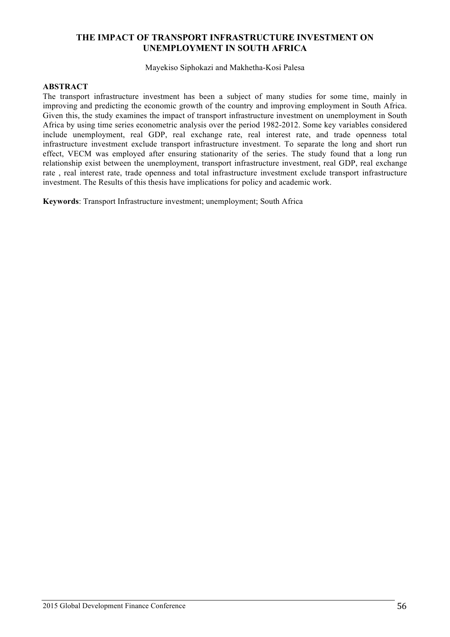# **THE IMPACT OF TRANSPORT INFRASTRUCTURE INVESTMENT ON UNEMPLOYMENT IN SOUTH AFRICA**

Mayekiso Siphokazi and Makhetha-Kosi Palesa

### **ABSTRACT**

The transport infrastructure investment has been a subject of many studies for some time, mainly in improving and predicting the economic growth of the country and improving employment in South Africa. Given this, the study examines the impact of transport infrastructure investment on unemployment in South Africa by using time series econometric analysis over the period 1982-2012. Some key variables considered include unemployment, real GDP, real exchange rate, real interest rate, and trade openness total infrastructure investment exclude transport infrastructure investment. To separate the long and short run effect, VECM was employed after ensuring stationarity of the series. The study found that a long run relationship exist between the unemployment, transport infrastructure investment, real GDP, real exchange rate , real interest rate, trade openness and total infrastructure investment exclude transport infrastructure investment. The Results of this thesis have implications for policy and academic work.

**Keywords**: Transport Infrastructure investment; unemployment; South Africa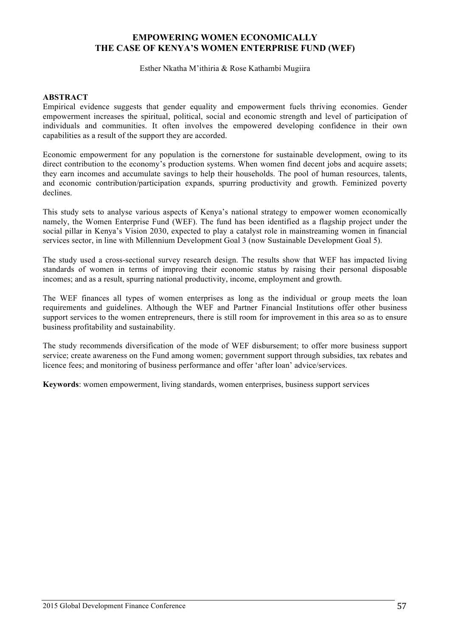# **EMPOWERING WOMEN ECONOMICALLY THE CASE OF KENYA'S WOMEN ENTERPRISE FUND (WEF)**

Esther Nkatha M'ithiria & Rose Kathambi Mugiira

### **ABSTRACT**

Empirical evidence suggests that gender equality and empowerment fuels thriving economies. Gender empowerment increases the spiritual, political, social and economic strength and level of participation of individuals and communities. It often involves the empowered developing confidence in their own capabilities as a result of the support they are accorded.

Economic empowerment for any population is the cornerstone for sustainable development, owing to its direct contribution to the economy's production systems. When women find decent jobs and acquire assets; they earn incomes and accumulate savings to help their households. The pool of human resources, talents, and economic contribution/participation expands, spurring productivity and growth. Feminized poverty declines.

This study sets to analyse various aspects of Kenya's national strategy to empower women economically namely, the Women Enterprise Fund (WEF). The fund has been identified as a flagship project under the social pillar in Kenya's Vision 2030, expected to play a catalyst role in mainstreaming women in financial services sector, in line with Millennium Development Goal 3 (now Sustainable Development Goal 5).

The study used a cross-sectional survey research design. The results show that WEF has impacted living standards of women in terms of improving their economic status by raising their personal disposable incomes; and as a result, spurring national productivity, income, employment and growth.

The WEF finances all types of women enterprises as long as the individual or group meets the loan requirements and guidelines. Although the WEF and Partner Financial Institutions offer other business support services to the women entrepreneurs, there is still room for improvement in this area so as to ensure business profitability and sustainability.

The study recommends diversification of the mode of WEF disbursement; to offer more business support service; create awareness on the Fund among women; government support through subsidies, tax rebates and licence fees; and monitoring of business performance and offer 'after loan' advice/services.

**Keywords**: women empowerment, living standards, women enterprises, business support services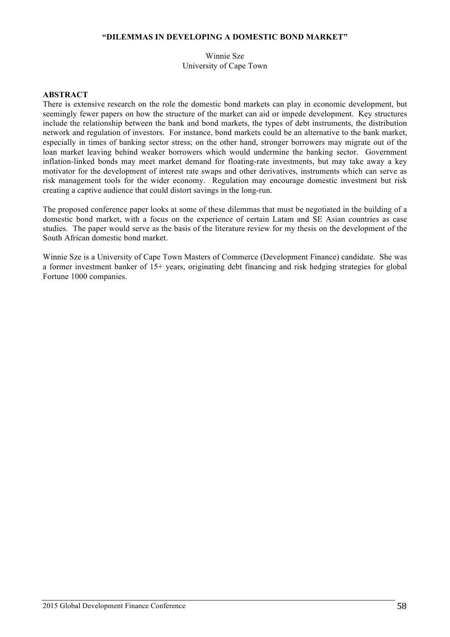### **"DILEMMAS IN DEVELOPING A DOMESTIC BOND MARKET"**

Winnie Sze University of Cape Town

#### **ABSTRACT**

There is extensive research on the role the domestic bond markets can play in economic development, but seemingly fewer papers on how the structure of the market can aid or impede development. Key structures include the relationship between the bank and bond markets, the types of debt instruments, the distribution network and regulation of investors. For instance, bond markets could be an alternative to the bank market, especially in times of banking sector stress; on the other hand, stronger borrowers may migrate out of the loan market leaving behind weaker borrowers which would undermine the banking sector. Government inflation-linked bonds may meet market demand for floating-rate investments, but may take away a key motivator for the development of interest rate swaps and other derivatives, instruments which can serve as risk management tools for the wider economy. Regulation may encourage domestic investment but risk creating a captive audience that could distort savings in the long-run.

The proposed conference paper looks at some of these dilemmas that must be negotiated in the building of a domestic bond market, with a focus on the experience of certain Latam and SE Asian countries as case studies. The paper would serve as the basis of the literature review for my thesis on the development of the South African domestic bond market.

Winnie Sze is a University of Cape Town Masters of Commerce (Development Finance) candidate. She was a former investment banker of 15+ years, originating debt financing and risk hedging strategies for global Fortune 1000 companies.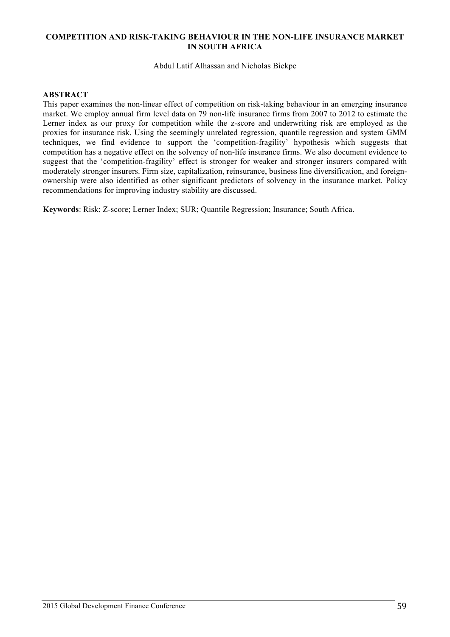## **COMPETITION AND RISK-TAKING BEHAVIOUR IN THE NON-LIFE INSURANCE MARKET IN SOUTH AFRICA**

Abdul Latif Alhassan and Nicholas Biekpe

#### **ABSTRACT**

This paper examines the non-linear effect of competition on risk-taking behaviour in an emerging insurance market. We employ annual firm level data on 79 non-life insurance firms from 2007 to 2012 to estimate the Lerner index as our proxy for competition while the z-score and underwriting risk are employed as the proxies for insurance risk. Using the seemingly unrelated regression, quantile regression and system GMM techniques, we find evidence to support the 'competition-fragility' hypothesis which suggests that competition has a negative effect on the solvency of non-life insurance firms. We also document evidence to suggest that the 'competition-fragility' effect is stronger for weaker and stronger insurers compared with moderately stronger insurers. Firm size, capitalization, reinsurance, business line diversification, and foreignownership were also identified as other significant predictors of solvency in the insurance market. Policy recommendations for improving industry stability are discussed.

**Keywords**: Risk; Z-score; Lerner Index; SUR; Quantile Regression; Insurance; South Africa.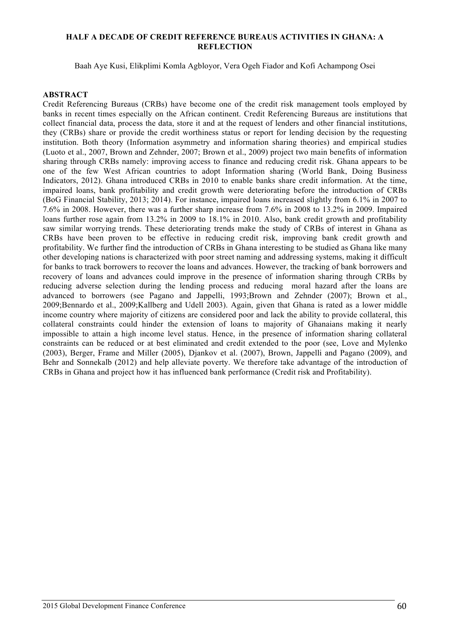### **HALF A DECADE OF CREDIT REFERENCE BUREAUS ACTIVITIES IN GHANA: A REFLECTION**

Baah Aye Kusi, Elikplimi Komla Agbloyor, Vera Ogeh Fiador and Kofi Achampong Osei

#### **ABSTRACT**

Credit Referencing Bureaus (CRBs) have become one of the credit risk management tools employed by banks in recent times especially on the African continent. Credit Referencing Bureaus are institutions that collect financial data, process the data, store it and at the request of lenders and other financial institutions, they (CRBs) share or provide the credit worthiness status or report for lending decision by the requesting institution. Both theory (Information asymmetry and information sharing theories) and empirical studies (Luoto et al., 2007, Brown and Zehnder, 2007; Brown et al., 2009) project two main benefits of information sharing through CRBs namely: improving access to finance and reducing credit risk. Ghana appears to be one of the few West African countries to adopt Information sharing (World Bank, Doing Business Indicators, 2012). Ghana introduced CRBs in 2010 to enable banks share credit information. At the time, impaired loans, bank profitability and credit growth were deteriorating before the introduction of CRBs (BoG Financial Stability, 2013; 2014). For instance, impaired loans increased slightly from 6.1% in 2007 to 7.6% in 2008. However, there was a further sharp increase from 7.6% in 2008 to 13.2% in 2009. Impaired loans further rose again from 13.2% in 2009 to 18.1% in 2010. Also, bank credit growth and profitability saw similar worrying trends. These deteriorating trends make the study of CRBs of interest in Ghana as CRBs have been proven to be effective in reducing credit risk, improving bank credit growth and profitability. We further find the introduction of CRBs in Ghana interesting to be studied as Ghana like many other developing nations is characterized with poor street naming and addressing systems, making it difficult for banks to track borrowers to recover the loans and advances. However, the tracking of bank borrowers and recovery of loans and advances could improve in the presence of information sharing through CRBs by reducing adverse selection during the lending process and reducing moral hazard after the loans are advanced to borrowers (see Pagano and Jappelli, 1993;Brown and Zehnder (2007); Brown et al., 2009;Bennardo et al., 2009;Kallberg and Udell 2003). Again, given that Ghana is rated as a lower middle income country where majority of citizens are considered poor and lack the ability to provide collateral, this collateral constraints could hinder the extension of loans to majority of Ghanaians making it nearly impossible to attain a high income level status. Hence, in the presence of information sharing collateral constraints can be reduced or at best eliminated and credit extended to the poor (see, Love and Mylenko (2003), Berger, Frame and Miller (2005), Djankov et al. (2007), Brown, Jappelli and Pagano (2009), and Behr and Sonnekalb (2012) and help alleviate poverty. We therefore take advantage of the introduction of CRBs in Ghana and project how it has influenced bank performance (Credit risk and Profitability).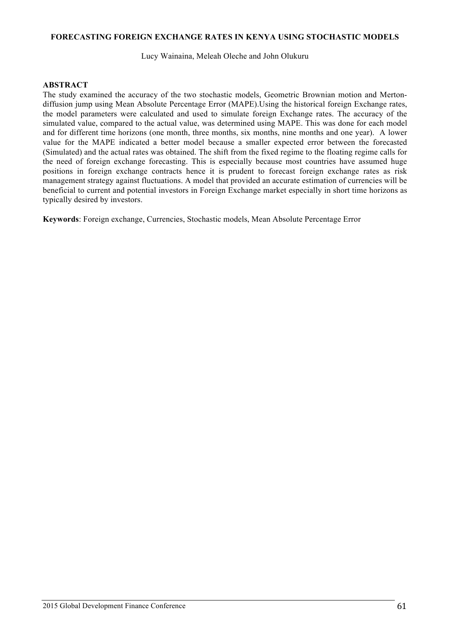### **FORECASTING FOREIGN EXCHANGE RATES IN KENYA USING STOCHASTIC MODELS**

Lucy Wainaina, Meleah Oleche and John Olukuru

#### **ABSTRACT**

The study examined the accuracy of the two stochastic models, Geometric Brownian motion and Mertondiffusion jump using Mean Absolute Percentage Error (MAPE).Using the historical foreign Exchange rates, the model parameters were calculated and used to simulate foreign Exchange rates. The accuracy of the simulated value, compared to the actual value, was determined using MAPE. This was done for each model and for different time horizons (one month, three months, six months, nine months and one year). A lower value for the MAPE indicated a better model because a smaller expected error between the forecasted (Simulated) and the actual rates was obtained. The shift from the fixed regime to the floating regime calls for the need of foreign exchange forecasting. This is especially because most countries have assumed huge positions in foreign exchange contracts hence it is prudent to forecast foreign exchange rates as risk management strategy against fluctuations. A model that provided an accurate estimation of currencies will be beneficial to current and potential investors in Foreign Exchange market especially in short time horizons as typically desired by investors.

**Keywords**: Foreign exchange, Currencies, Stochastic models, Mean Absolute Percentage Error